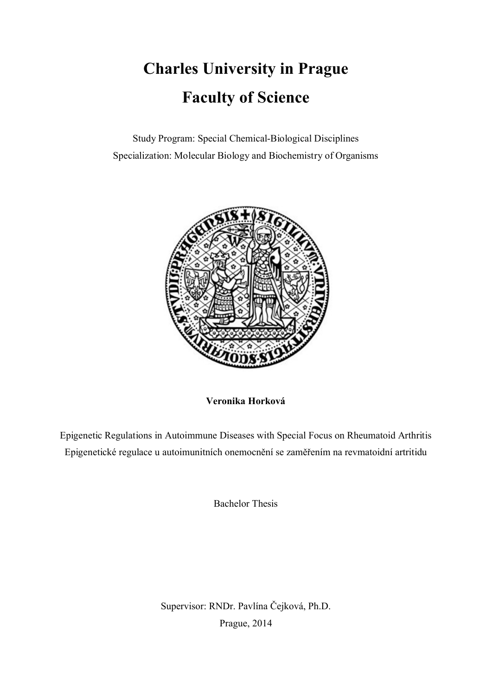# **Charles University in Prague Faculty of Science**

Study Program: Special Chemical-Biological Disciplines Specialization: Molecular Biology and Biochemistry of Organisms



**Veronika Horková**

Epigenetic Regulations in Autoimmune Diseases with Special Focus on Rheumatoid Arthritis Epigenetické regulace u autoimunitních onemocnění se zaměřením na revmatoidní artritidu

Bachelor Thesis

Supervisor: RNDr. Pavlína Čejková, Ph.D. Prague, 2014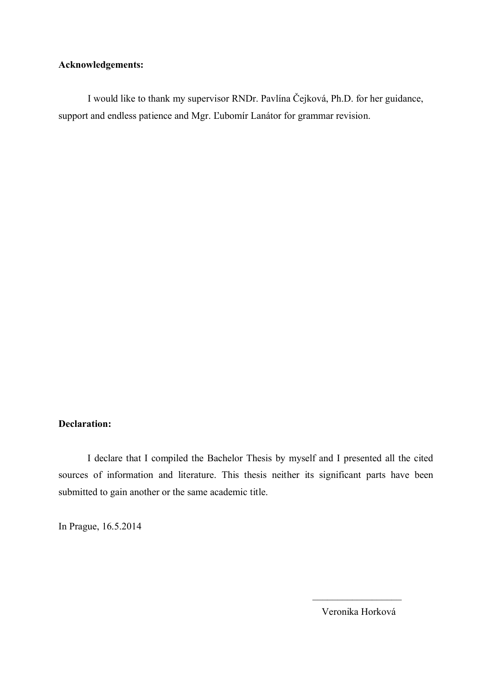## **Acknowledgements:**

I would like to thank my supervisor RNDr. Pavlína Čejková, Ph.D. for her guidance, support and endless patience and Mgr. Ľubomír Lanátor for grammar revision.

# **Declaration:**

I declare that I compiled the Bachelor Thesis by myself and I presented all the cited sources of information and literature. This thesis neither its significant parts have been submitted to gain another or the same academic title.

In Prague, 16.5.2014

Veronika Horková

 $\frac{1}{2}$  ,  $\frac{1}{2}$  ,  $\frac{1}{2}$  ,  $\frac{1}{2}$  ,  $\frac{1}{2}$  ,  $\frac{1}{2}$  ,  $\frac{1}{2}$  ,  $\frac{1}{2}$  ,  $\frac{1}{2}$  ,  $\frac{1}{2}$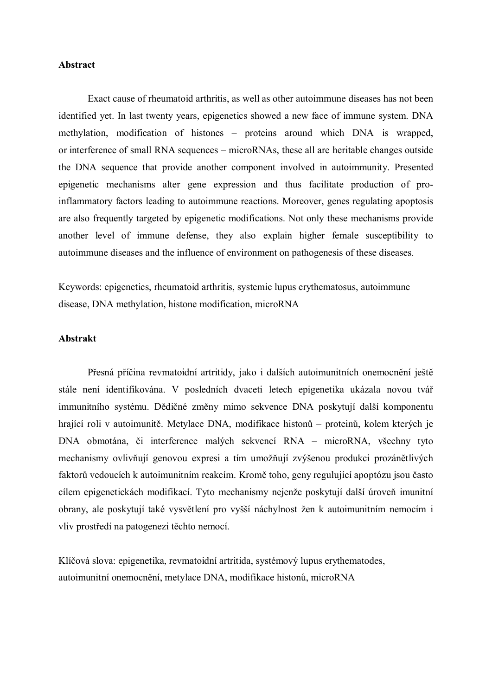#### **Abstract**

Exact cause of rheumatoid arthritis, as well as other autoimmune diseases has not been identified yet. In last twenty years, epigenetics showed a new face of immune system. DNA methylation, modification of histones – proteins around which DNA is wrapped, or interference of small RNA sequences – microRNAs, these all are heritable changes outside the DNA sequence that provide another component involved in autoimmunity. Presented epigenetic mechanisms alter gene expression and thus facilitate production of proinflammatory factors leading to autoimmune reactions. Moreover, genes regulating apoptosis are also frequently targeted by epigenetic modifications. Not only these mechanisms provide another level of immune defense, they also explain higher female susceptibility to autoimmune diseases and the influence of environment on pathogenesis of these diseases.

Keywords: epigenetics, rheumatoid arthritis, systemic lupus erythematosus, autoimmune disease, DNA methylation, histone modification, microRNA

## **Abstrakt**

Přesná příčina revmatoidní artritidy, jako i dalších autoimunitních onemocnění ještě stále není identifikována. V posledních dvaceti letech epigenetika ukázala novou tvář immunitního systému. Dědičné změny mimo sekvence DNA poskytují další komponentu hrající roli v autoimunitě. Metylace DNA, modifikace histonů – proteinů, kolem kterých je DNA obmotána, či interference malých sekvencí RNA – microRNA, všechny tyto mechanismy ovlivňují genovou expresi a tím umožňují zvýšenou produkci prozánětlivých faktorů vedoucích k autoimunitním reakcím. Kromě toho, geny regulující apoptózu jsou často cílem epigenetickách modifikací. Tyto mechanismy nejenže poskytují další úroveň imunitní obrany, ale poskytují také vysvětlení pro vyšší náchylnost žen k autoimunitním nemocím i vliv prostředí na patogenezi těchto nemocí.

Klíčová slova: epigenetika, revmatoidní artritida, systémový lupus erythematodes, autoimunitní onemocnění, metylace DNA, modifikace histonů, microRNA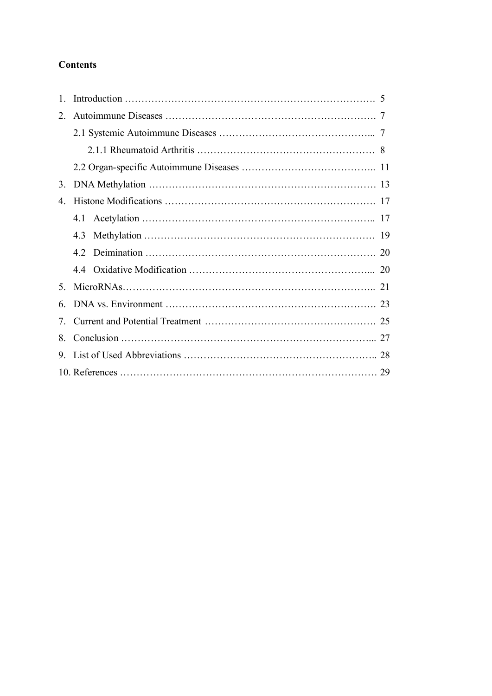## **Contents**

| $\mathbf{1}$   |     |  |  |
|----------------|-----|--|--|
| 2.             |     |  |  |
|                |     |  |  |
|                |     |  |  |
|                |     |  |  |
| 3.             |     |  |  |
| $\overline{4}$ |     |  |  |
|                |     |  |  |
|                | 4.3 |  |  |
|                |     |  |  |
|                |     |  |  |
| 5              |     |  |  |
| 6              |     |  |  |
| 7              |     |  |  |
| 8.             |     |  |  |
| 9              |     |  |  |
|                |     |  |  |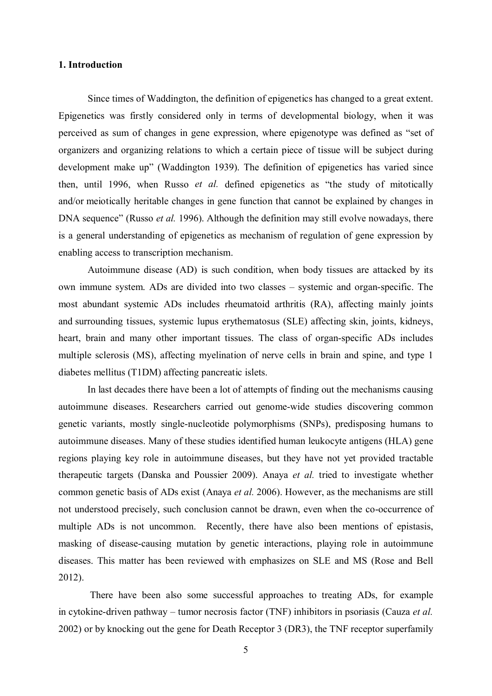## **1. Introduction**

Since times of Waddington, the definition of epigenetics has changed to a great extent. Epigenetics was firstly considered only in terms of developmental biology, when it was perceived as sum of changes in gene expression, where epigenotype was defined as "set of organizers and organizing relations to which a certain piece of tissue will be subject during development make up" ([Waddington](#page-37-0) [1939\)](#page-37-1). The definition of epigenetics has varied since then, until 1996, when Russo *et al.* defined epigenetics as "the study of mitotically and/or meiotically heritable changes in gene function that cannot be explained by changes in DNA sequence" [\(Russo](#page-36-0) *et al.* 1996). Although the definition may still evolve nowadays, there is a general understanding of epigenetics as mechanism of regulation of gene expression by enabling access to transcription mechanism.

Autoimmune disease (AD) is such condition, when body tissues are attacked by its own immune system. ADs are divided into two classes – systemic and organ-specific. The most abundant systemic ADs includes rheumatoid arthritis (RA), affecting mainly joints and surrounding tissues, systemic lupus erythematosus (SLE) affecting skin, joints, kidneys, heart, brain and many other important tissues. The class of organ-specific ADs includes multiple sclerosis (MS), affecting myelination of nerve cells in brain and spine, and type 1 diabetes mellitus (T1DM) affecting pancreatic islets.

In last decades there have been a lot of attempts of finding out the mechanisms causing autoimmune diseases. Researchers carried out genome-wide studies discovering common genetic variants, mostly single-nucleotide polymorphisms (SNPs), predisposing humans to autoimmune diseases. Many of these studies identified human leukocyte antigens (HLA) gene regions playing key role in autoimmune diseases, but they have not yet provided tractable therapeutic targets [\(Danska and Poussier 2009](#page-29-0)). Anaya *et al.* tried to investigate whether common genetic basis of ADs exist [\(Anaya](#page-28-0) *et al.* 2006). However, as the mechanisms are still not understood precisely, such conclusion cannot be drawn, even when the co-occurrence of multiple ADs is not uncommon. Recently, there have also been mentions of epistasis, masking of disease-causing mutation by genetic interactions, playing role in autoimmune dise[ases. This matter has been reviewed with emphasizes on SLE](#page-36-1) and MS (Rose and Bell 2012).

There have been also some successful approaches to treating ADs, for example in cytokine-driven pathway – [tumor necrosis factor \(TNF\) inhibitors in psoriasis \(](#page-29-1)Cauza *et al.* 2002) or by knocking out the gene for Death Receptor 3 (DR3), the TNF receptor superfamily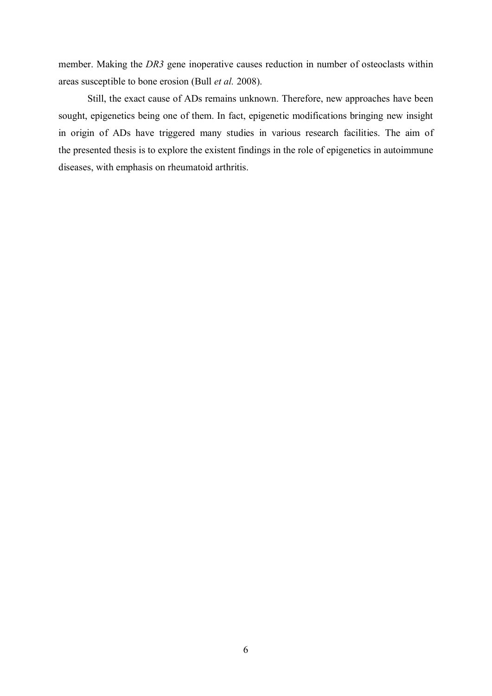member. Making the *DR3* gene inoperative causes reduction in number of osteoclasts within areas susceptible to bone erosion (Bull *[et al.](#page-28-1)* 2008).

Still, the exact cause of ADs remains unknown. Therefore, new approaches have been sought, epigenetics being one of them. In fact, epigenetic modifications bringing new insight in origin of ADs have triggered many studies in various research facilities. The aim of the presented thesis is to explore the existent findings in the role of epigenetics in autoimmune diseases, with emphasis on rheumatoid arthritis.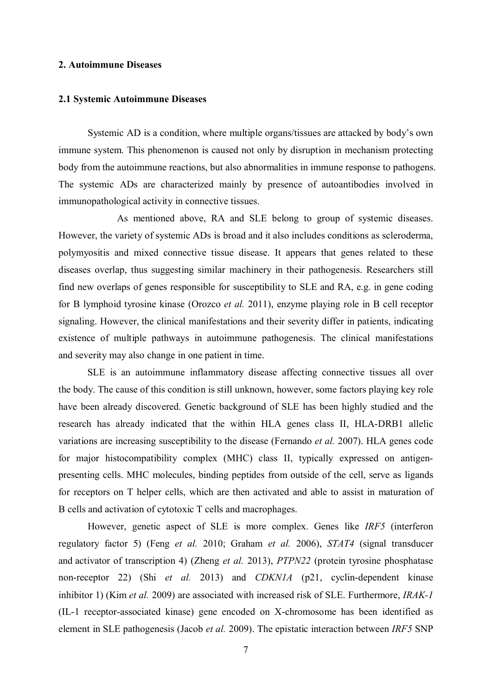## **2. Autoimmune Diseases**

#### **2.1 Systemic Autoimmune Diseases**

Systemic AD is a condition, where multiple organs/tissues are attacked by body's own immune system. This phenomenon is caused not only by disruption in mechanism protecting body from the autoimmune reactions, but also abnormalities in immune response to pathogens. The systemic ADs are characterized mainly by presence of autoantibodies involved in immunopathological activity in connective tissues.

As mentioned above, RA and SLE belong to group of systemic diseases. However, the variety of systemic ADs is broad and it also includes conditions as scleroderma, polymyositis and mixed connective tissue disease. It appears that genes related to these diseases overlap, thus suggesting similar machinery in their pathogenesis. Researchers still find new overlaps of genes responsible for susceptibility to SLE and RA, e.g. in gene coding for B lymphoid tyrosine kinase [\(Orozco](#page-35-0) *et al.* 2011), enzyme playing role in B cell receptor signaling. However, the clinical manifestations and their severity differ in patients, indicating existence of multiple pathways in autoimmune pathogenesis. The clinical manifestations and severity may also change in one patient in time.

SLE is an autoimmune inflammatory disease affecting connective tissues all over the body. The cause of this condition is still unknown, however, some factors playing key role have been already discovered. Genetic background of SLE has been highly studied and the research has already indicated that the within HLA genes class II, HLA-DRB1 allelic variations are increasing susceptibility to the disease [\(Fernando](#page-30-0) *et al.* 2007). HLA genes code for major histocompatibility complex (MHC) class II, typically expressed on antigenpresenting cells. MHC molecules, binding peptides from outside of the cell, serve as ligands for receptors on T helper cells, which are then activated and able to assist in maturation of B cells and activation of cytotoxic T cells and macrophages.

However, genetic aspect of SLE is more complex. Genes like *IRF5* (interferon regulatory factor 5) (Feng *[et al.](#page-30-1)* 2010; [Graham](#page-30-2) *et al.* 2006), *STAT4* (signal transducer and activator of transcription 4) [\(Zheng](#page-38-0) *et al.* 2013), *PTPN22* (protein tyrosine phosphatase non-receptor 22) (Shi *[et al.](#page-36-2)* 2013) and *CDKN1A* (p21, cyclin-dependent kinase inhibitor 1) (Kim *et al.* [2009](#page-32-0)) are associated with increased risk of SLE. Furthermore, *IRAK-1* (IL-1 receptor-associated kinase) gene encoded on X-chromosome has been identified as element in SLE pathogenesis [\(Jacob](#page-31-0) *et al.* 2009). The epistatic interaction between *IRF5* SNP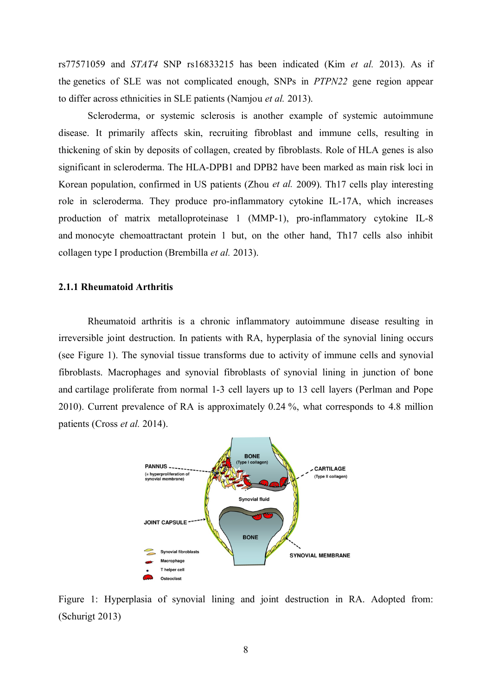rs77571059 and *STAT4* SNP rs16833215 has been indicated (Kim *[et al.](#page-32-1)* 2013). As if the genetics of SLE was not complicated enough, SNPs in *PTPN22* gene region appear to differ across ethnicities in SLE patients [\(Namjou](#page-34-0) *et al.* 2013).

Scleroderma, or systemic sclerosis is another example of systemic autoimmune disease. It primarily affects skin, recruiting fibroblast and immune cells, resulting in thickening of skin by deposits of collagen, created by fibroblasts. Role of HLA genes is also significant in scleroderma. The HLA-DPB1 and DPB2 have been marked as main risk loci in Korean population, confirmed in US patients [\(Zhou](#page-38-1) *et al.* 2009). Th17 cells play interesting role in scleroderma. They produce pro-inflammatory cytokine IL-17A, which increases production of matrix metalloproteinase 1 (MMP-1), pro-inflammatory cytokine IL-8 and monocyte chemoattractant protein 1 but, on the other hand, Th17 cells also inhibit collagen type I production [\(Brembilla](#page-28-2) *et al.* 2013).

## **2.1.1 Rheumatoid Arthritis**

Rheumatoid arthritis is a chronic inflammatory autoimmune disease resulting in irreversible joint destruction. In patients with RA, hyperplasia of the synovial lining occurs (see Figure 1). The synovial tissue transforms due to activity of immune cells and synovial fibroblasts. Macrophages and synovial fibroblasts of synovial lining in junction of bone and [cartilage proliferate from normal 1-3](#page-35-1) cell layers up to 13 cell layers (Perlman and Pope 2010). Current prevalence of RA is approximately 0.24 %, what corresponds to 4.8 million patients [\(Cross](#page-29-2) *et al.* 2014).



Figure 1: Hyperplasia of synovial lining and joint destruction in RA. Adopted from: [\(Schurigt](#page-36-3) 2013)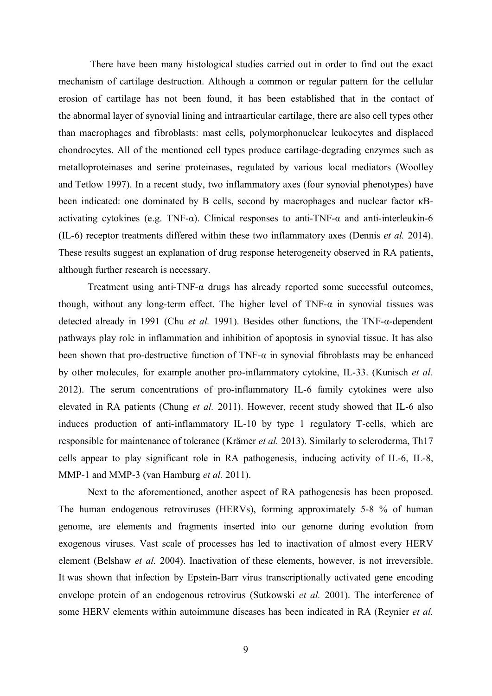There have been many histological studies carried out in order to find out the exact mechanism of cartilage destruction. Although a common or regular pattern for the cellular erosion of cartilage has not been found, it has been established that in the contact of the abnormal layer of synovial lining and intraarticular cartilage, there are also cell types other than macrophages and fibroblasts: mast cells, polymorphonuclear leukocytes and displaced chondrocytes. All of the mentioned cell types produce cartilage-degrading enzymes such as metallopro[teinases and serine proteinases, regulated by various local mediators \(](#page-38-2)Woolley and Tetlow 1997). In a recent study, two inflammatory axes (four synovial phenotypes) have been indicated: one dominated by B cells, second by macrophages and nuclear factor κBactivating cytokines (e.g. TNF- $\alpha$ ). Clinical responses to anti-TNF- $\alpha$  and anti-interleukin-6 (IL-6) receptor treatments differed within these two inflammatory axes [\(Dennis](#page-29-3) *et al.* 2014). These results suggest an explanation of drug response heterogeneity observed in RA patients, although further research is necessary.

Treatment using anti-TNF-α drugs has already reported some successful outcomes, though, without any long-term effect. The higher level of  $TNF-\alpha$  in synovial tissues was detected already in 1991 (Chu *[et al.](#page-31-1)* 1991). Besides other functions, the TNF-α-dependent pathways play role in inflammation and inhibition of apoptosis in synovial tissue. It has also been shown that pro-destructive function of TNF- $\alpha$  in synovial fibroblasts may be enhanced by o[ther molecules, for example another pro-inflammatory cytokine, IL-33. \(](#page-33-0)Kunisch *et al.* 2012). The serum concentrations of pro-inflammatory IL-6 family cytokines were also elevated in RA patients [\(Chung](#page-31-2) *et al.* 2011). However, recent study showed that IL-6 also induces production of anti-inflammatory IL-10 by type 1 regulatory T-cells, which are responsible for maintenance of tolerance [\(Krämer](#page-33-1) *et al.* 2013). Similarly to scleroderma, Th17 cells appear to play significant role in RA pathogenesis, inducing activity of IL-6, IL-8, MMP-1 and MMP-3 [\(van Hamburg](#page-37-2) *et al.* 2011).

Next to the aforementioned, another aspect of RA pathogenesis has been proposed. The human endogenous retroviruses (HERVs), forming approximately 5-8 % of human genome, are elements and fragments inserted into our genome during evolution from exogenous viruses. Vast scale of processes has led to inactivation of almost every HERV element [\(Belshaw](#page-28-3) *et al.* 2004). Inactivation of these elements, however, is not irreversible. It was shown that infection by Epstein-Barr virus transcriptionally activated gene encoding envelope protein of an endogenous retrovirus [\(Sutkowski](#page-37-3) *et al.* 2001). The interference of some HERV elements within autoimmune diseases has been indicated in RA (Reynier *et al.*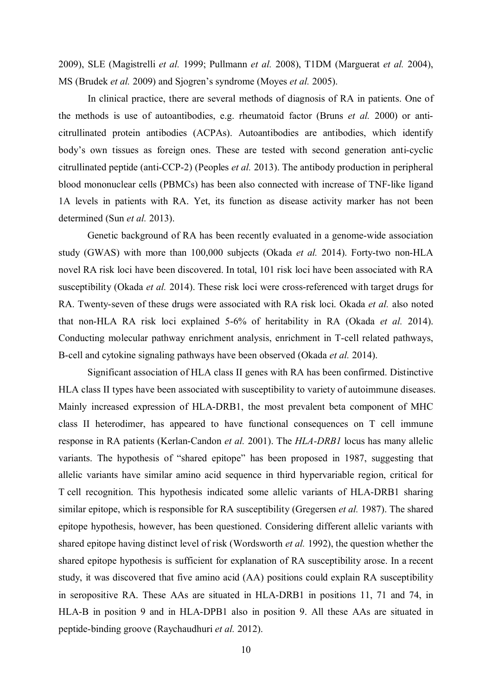2009), SLE ([Magistrelli](#page-34-1) *et al.* 1999; [Pullmann](#page-35-2) *et al.* 2008), T1DM [\(Marguerat](#page-34-2) *et al.* 2004), MS [\(Brudek](#page-28-4) *et al.* 2009) and Sjogren's syndrome [\(Moyes](#page-34-3) *et al.* 2005).

In clinical practice, there are several methods of diagnosis of RA in patients. One of the methods is use of autoantibodies, e.g. rheumatoid factor [\(Bruns](#page-28-5) *et al.* 2000) or anticitrullinated protein antibodies (ACPAs). Autoantibodies are antibodies, which identify body's own tissues as foreign ones. These are tested with second generation anti-cyclic citrullinated peptide (anti-CCP-2) [\(Peoples](#page-35-3) *et al.* 2013). The antibody production in peripheral blood mononuclear cells (PBMCs) has been also connected with increase of TNF-like ligand 1A levels in patients with RA. Yet, its function as disease activity marker has not been determined (Sun *[et al.](#page-37-4)* 2013).

Genetic background of RA has been recently evaluated in a genome-wide association study (GWAS) with more than 100,000 subjects [\(Okada](#page-35-4) *et al.* 2014). Forty-two non-HLA novel RA risk loci have been discovered. In total, 101 risk loci have been associated with RA susceptibility ([Okada](#page-35-5) *et al.* 2014). These risk loci were cross-referenced with target drugs for RA. Twenty-seven of these drugs were associated with RA risk loci. Okada *et al.* also noted that non-HLA RA risk loci explained 5-6% of heritability in RA [\(Okada](#page-35-6) *et al.* 2014). Conducting molecular pathway enrichment analysis, enrichment in T-cell related pathways, B-cell and cytokine signaling pathways have been observed [\(Okada](#page-35-7) *et al.* 2014).

Significant association of HLA class II genes with RA has been confirmed. Distinctive HLA class II types have been associated with susceptibility to variety of autoimmune diseases. Mainly increased expression of HLA-DRB1, the most prevalent beta component of MHC class II heterodimer, has appeared to have functional consequences on T cell immune response in RA patients [\(Kerlan-Candon](#page-32-2) *et al.* 2001). The *HLA-DRB1* locus has many allelic variants. The hypothesis of "shared epitope" has been proposed in 1987, suggesting that allelic variants have similar amino acid sequence in third hypervariable region, critical for T cell recognition. This hypothesis indicated some allelic variants of HLA-DRB1 sharing similar epitope, which is responsible for RA susceptibility [\(Gregersen](#page-30-3) *et al.* 1987). The shared epitope hypothesis, however, has been questioned. Considering different allelic variants with shared epitope having distinct level of risk [\(Wordsworth](#page-38-3) *et al.* 1992), the question whether the shared epitope hypothesis is sufficient for explanation of RA susceptibility arose. In a recent study, it was discovered that five amino acid (AA) positions could explain RA susceptibility in seropositive RA. These AAs are situated in HLA-DRB1 in positions 11, 71 and 74, in HL[A-B in position 9 and in HLA-DPB1 also in position 9. All these AAs a](#page-36-4)re situated in peptide-binding groove [\(Raychaudhuri](#page-36-5) *et al.* 2012).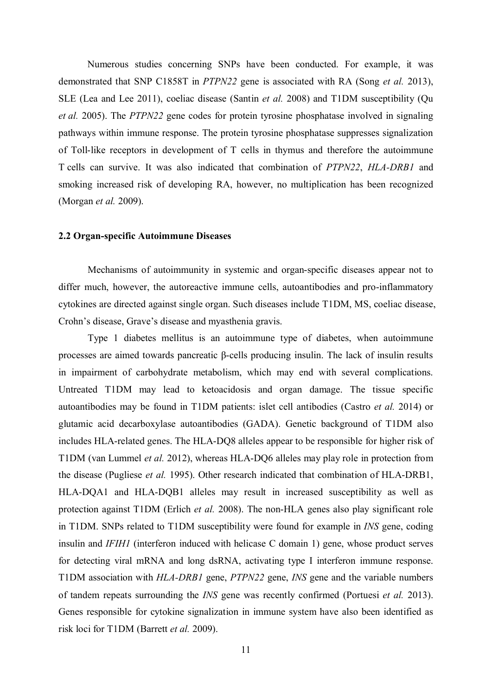Numerous studies concerning SNPs have been conducted. For example, it was demonstrated that SNP C1858T in *PTPN22* gene is associated with RA ([Song](#page-36-6) *et al.* 2013), SLE [\(Lea and Lee 2011](#page-33-2)), coeliac disease [\(Santin](#page-36-7) *et al.* 2008) [and T1DM susceptibility \(](#page-35-8)Qu *et al.* 2005). The *PTPN22* gene codes for protein tyrosine phosphatase involved in signaling pathways within immune response. The protein tyrosine phosphatase suppresses signalization of Toll-like receptors in development of T cells in thymus and therefore the autoimmune T cells can survive. It was also indicated that combination of *PTPN22*, *HLA-DRB1* and smoking increased risk of developing RA, however, no multiplication has been recognized [\(Morgan](#page-34-4) *et al.* 2009).

### **2.2 Organ-specific Autoimmune Diseases**

Mechanisms of autoimmunity in systemic and organ-specific diseases appear not to differ much, however, the autoreactive immune cells, autoantibodies and pro-inflammatory cytokines are directed against single organ. Such diseases include T1DM, MS, coeliac disease, Crohn's disease, Grave's disease and myasthenia gravis.

Type 1 diabetes mellitus is an autoimmune type of diabetes, when autoimmune processes are aimed towards pancreatic β-cells producing insulin. The lack of insulin results in impairment of carbohydrate metabolism, which may end with several complications. Untreated T1DM may lead to ketoacidosis and organ damage. The tissue specific autoantibodies may be found in T1DM patients: islet cell antibodies [\(Castro](#page-29-4) *et al.* 2014) or glutamic acid decarboxylase autoantibodies (GADA). Genetic background of T1DM also includes HLA-related genes. The HLA-DQ8 alleles appear to be responsible for higher risk of T1DM [\(van Lummel](#page-37-5) *et al.* 2012), whereas HLA-DQ6 alleles may play role in protection from the disease [\(Pugliese](#page-35-9) *et al.* 1995). Other research indicated that combination of HLA-DRB1, HLA-DQA1 and HLA-DQB1 alleles may result in increased susceptibility as well as protection against T1DM [\(Erlich](#page-29-5) *et al.* 2008). The non-HLA genes also play significant role in T1DM. SNPs related to T1DM susceptibility were found for example in *INS* gene, coding insulin and *IFIH1* (interferon induced with helicase C domain 1) gene, whose product serves for detecting viral mRNA and long dsRNA, activating type I interferon immune response. T1DM association with *HLA-DRB1* gene, *PTPN22* gene, *INS* gene and the variable numbers of tandem repeats surrounding the *INS* gene was recently confirmed [\(Portuesi](#page-35-10) *et al.* 2013). Genes responsible for cytokine signalization in immune system have also been identified as risk loci for T1DM [\(Barrett](#page-28-6) *et al.* 2009).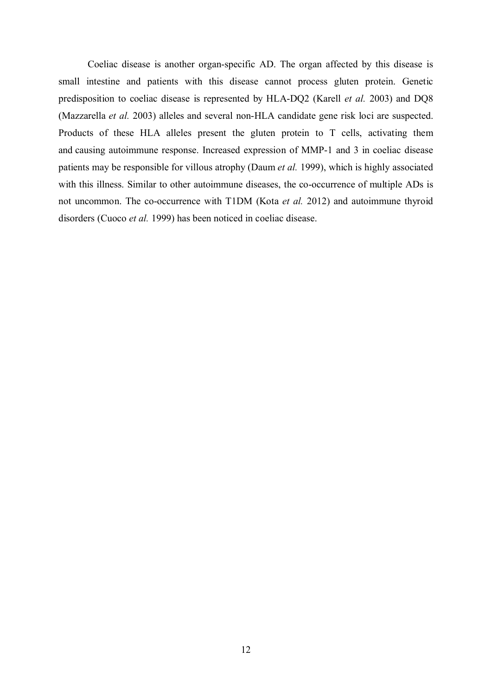Coeliac disease is another organ-specific AD. The organ affected by this disease is small intestine and patients with this disease cannot process gluten protein. Genetic predisposition to coeliac disease is represented by HLA-DQ2 ([Karell](#page-32-3) *et al.* 2003) and DQ8 [\(Mazzarella](#page-34-5) *et al.* 2003) alleles and several non-HLA candidate gene risk loci are suspected. Products of these HLA alleles present the gluten protein to T cells, activating them and causing autoimmune response. Increased expression of MMP-1 and 3 in coeliac disease patients may be responsible for villous atrophy [\(Daum](#page-29-6) *et al.* 1999), which is highly associated with this illness. Similar to other autoimmune diseases, the co-occurrence of multiple ADs is not uncommon. The co-occurrence with T1DM (Kota *[et al.](#page-33-3)* 2012) and autoimmune thyroid disorders [\(Cuoco](#page-29-7) *et al.* 1999) has been noticed in coeliac disease.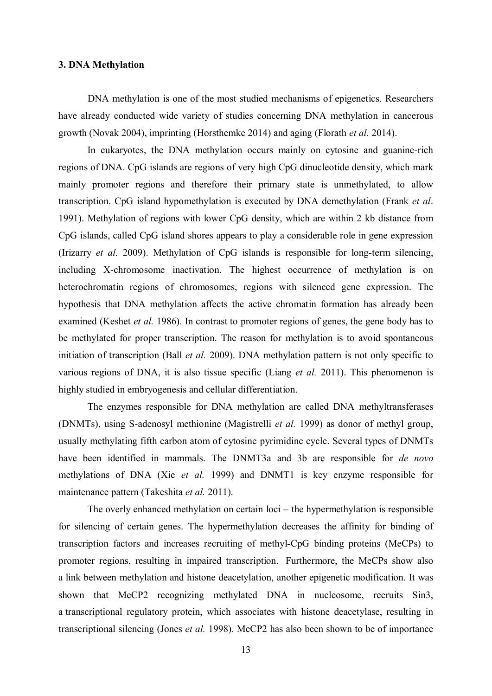## **3. DNA Methylation**

DNA methylation is one of the most studied mechanisms of epigenetics. Researchers have already conducted wide variety of studies concerning DNA methylation in cancerous growth [\(No](#page-35-12)[vak 2004\)](#page-35-11), imprinting [\(Horsthemke 2014](#page-31-3)) and aging [\(Florath](#page-30-4) *et al.* 2014).

In eukaryotes, the DNA methylation occurs mainly on cytosine and guanine-rich regions of DNA. CpG islands are regions of very high CpG dinucleotide density, which mark mainly promoter regions and therefore their primary state is unmethylated, to allow transcription. CpG island [hypomethylation is executed by DNA demethylation \(F](#page-30-5)rank *et al*. 1991). Methylation of regions with lower CpG density, which are within 2 kb distance from CpG islands, called CpG island shores appears to play a considerable role in gene expression [\(Irizarry](#page-31-4) *et al.* 2009). Methylation of CpG islands is responsible for long-term silencing, including X-chromosome inactivation. The highest occurrence of methylation is on heterochromatin regions of chromosomes, regions with silenced gene expression. The hypothesis that DNA methylation affects the active chromatin formation has already been examined [\(Keshet](#page-32-4) *et al.* 1986). In contrast to promoter regions of genes, the gene body has to be methylated for proper transcription. The reason for methylation is to avoid spontaneous initiation of transcription (Ball *[et al.](#page-28-7)* 2009). DNA methylation pattern is not only specific to various regions of DNA, it is also tissue specific [\(Liang](#page-33-4) *et al.* 2011). This phenomenon is highly studied in embryogenesis and cellular differentiation.

The enzymes responsible for DNA methylation are called DNA methyltransferases (DNMTs), using S-adenosyl methionine [\(](#page-34-7)[Magistrelli](#page-34-6) *et al.* 1999) as donor of methyl group, usually methylating fifth carbon atom of cytosine pyrimidine cycle. Several types of DNMTs have been identified in mammals. The DNMT3a and 3b are responsible for *de novo* methylations of DNA (Xie *[et al.](#page-38-4)* 1999) and DNMT1 is key enzyme responsible for maintenance pattern [\(Takeshita](#page-37-6) *et al.* 2011).

The overly enhanced methylation on certain loci – the hypermethylation is responsible for silencing of certain genes. The hypermethylation decreases the affinity for binding of transcription factors and increases recruiting of methyl-CpG binding proteins (MeCPs) to promoter regions, resulting in impaired transcription. Furthermore, the MeCPs show also a link between methylation and histone deacetylation, another epigenetic modification. It was shown that MeCP2 recognizing methylated DNA in nucleosome, recruits Sin3, a transcriptional regulatory protein, which associates with histone deacetylase, resulting in transcriptional silencing [\(Jones](#page-32-5) *et al.* 1998). MeCP2 has also been shown to be of importance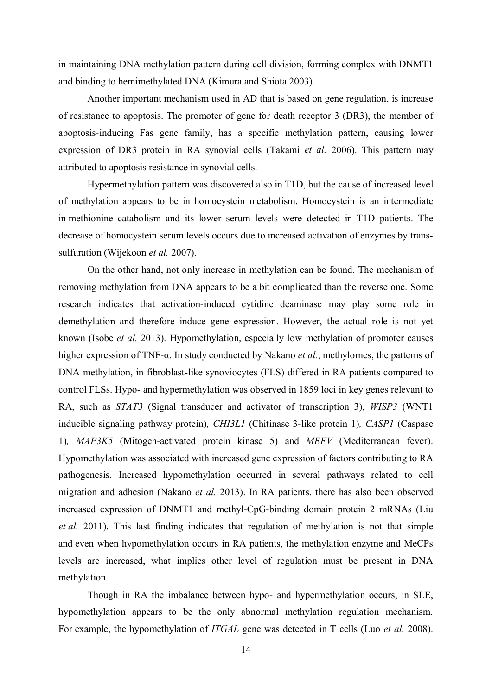in maintaining DNA methylation pattern during cell division, forming complex with DNMT1 and binding to hemimethylated DNA (Kimura [and Shiota 2003](#page-32-6)).

Another important mechanism used in AD that is based on gene regulation, is increase of resistance to apoptosis. The promoter of gene for death receptor 3 (DR3), the member of apoptosis-inducing Fas gene family, has a specific methylation pattern, causing lower expression of DR3 protein in RA synovial cells [\(Takami](#page-37-7) *et al.* 2006). This pattern may attributed to apoptosis resistance in synovial cells.

Hypermethylation pattern was discovered also in T1D, but the cause of increased level of methylation appears to be in homocystein metabolism. Homocystein is an intermediate in methionine catabolism and its lower serum levels were detected in T1D patients. The decrease of homocystein serum levels occurs due to increased activation of enzymes by transsulfuration [\(Wijekoon](#page-38-5) *et al.* 2007).

On the other hand, not only increase in methylation can be found. The mechanism of removing methylation from DNA appears to be a bit complicated than the reverse one. Some research indicates that activation-induced cytidine deaminase may play some role in demethylation and therefore induce gene expression. However, the actual role is not yet known [\(Isobe](#page-31-5) *et al.* 2013). Hypomethylation, especially low methylation of promoter causes higher expression of TNF-α. In study conducted by Nakano *et al.*, methylomes, the patterns of DNA methylation, in fibroblast-like synoviocytes (FLS) differed in RA patients compared to control FLSs. Hypo- and hypermethylation was observed in 1859 loci in key genes relevant to RA, such as *STAT3* (Signal transducer and activator of transcription 3)*, WISP3* (WNT1 inducible signaling pathway protein)*, CHI3L1* (Chitinase 3-like protein 1)*, CASP1* (Caspase 1)*, MAP3K5* (Mitogen-activated protein kinase 5) and *MEFV* (Mediterranean fever). Hypomethylation was associated with increased gene expression of factors contributing to RA pathogenesis. Increased hypomethylation occurred in several pathways related to cell migration and adhesion [\(Nakano](#page-34-8) *et al.* 2013). In RA patients, there has also been observed increased [expression of DNMT1 and methyl-CpG-binding domain protein 2 mRNAs](#page-34-9) (Liu *et al.* 2011). This last finding indicates that regulation of methylation is not that simple and even when hypomethylation occurs in RA patients, the methylation enzyme and MeCPs levels are increased, what implies other level of regulation must be present in DNA methylation.

Though in RA the imbalance between hypo- and hypermethylation occurs, in SLE, hypomethylation appears to be the only abnormal methylation regulation mechanism. For example, the hypomethylation of *ITGAL* gene was detected in T cells (Luo *[et al.](#page-34-10)* 2008).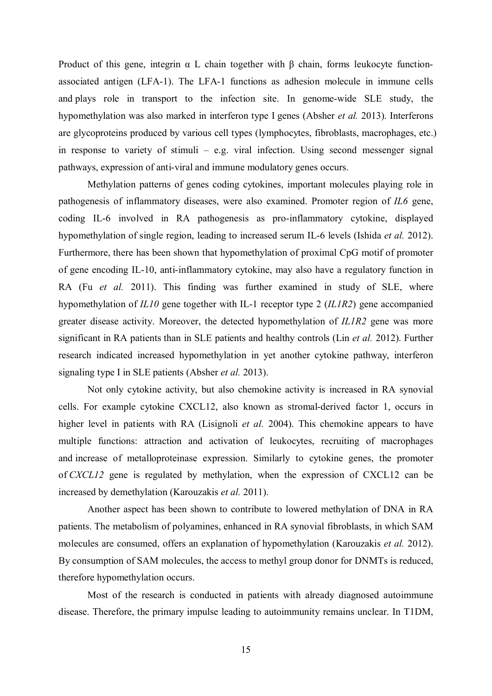Product of this gene, integrin α L chain together with β chain, forms leukocyte functionassociated antigen (LFA-1). The LFA-1 functions as adhesion molecule in immune cells and plays role in transport to the infection site. In genome-wide SLE study, the hypomethylation was also marked in interferon type I genes [\(Absher](#page-28-8) *et al.* 2013). Interferons are glycoproteins produced by various cell types (lymphocytes, fibroblasts, macrophages, etc.) in response to variety of stimuli  $-$  e.g. viral infection. Using second messenger signal pathways, expression of anti-viral and immune modulatory genes occurs.

Methylation patterns of genes coding cytokines, important molecules playing role in pathogenesis of inflammatory diseases, were also examined. Promoter region of *IL6* gene, coding IL-6 involved in RA pathogenesis as pro-inflammatory cytokine, displayed hypomethylation of single region, leading to increased serum IL-6 levels [\(Ishida](#page-31-6) *et al.* 2012). Furthermore, there has been shown that hypomethylation of proximal CpG motif of promoter of gene encoding IL-10, anti-inflammatory cytokine, may also have a regulatory function in RA (Fu *[et al.](#page-30-6)* 2011). This finding was further examined in study of SLE, where hypomethylation of *IL10* gene together with IL-1 receptor type 2 (*IL1R2*) gene accompanied greater disease activity. Moreover, the detected hypomethylation of *IL1R2* gene was more significant in RA patients than in SLE patients and healthy controls (Lin *et al.* [2012](#page-33-5)). Further research indicated increased hypomethylation in yet another cytokine pathway, interferon signaling type I in SLE patients [\(Absher](#page-28-9) *et al.* 2013).

Not only cytokine activity, but also chemokine activity is increased in RA synovial cells. For example cytokine CXCL12, also known as stromal-derived factor 1, occurs in higher level in patients with RA [\(Lisignoli](#page-34-11) *et al.* 2004). This chemokine appears to have multiple functions: attraction and activation of leukocytes, recruiting of macrophages and increase of metalloproteinase expression. Similarly to cytokine genes, the promoter of *CXCL12* gene is regulated by methylation, when the expression of CXCL12 can be increased by demethylation [\(Karouzakis](#page-32-7) *et al.* 2011).

Another aspect has been shown to contribute to lowered methylation of DNA in RA patients. The metabolism of polyamines, enhanced in RA synovial fibroblasts, in which SAM molecules are consumed, offers an explanation of hypomethylation [\(Karouzakis](#page-32-8) *et al.* 2012). By consumption of SAM molecules, the access to methyl group donor for DNMTs is reduced, therefore hypomethylation occurs.

Most of the research is conducted in patients with already diagnosed autoimmune disease. Therefore, the primary impulse leading to autoimmunity remains unclear. In T1DM,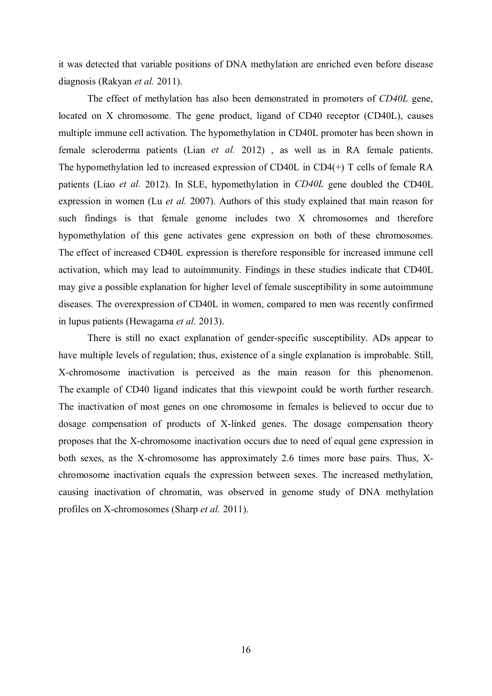it was detected that variable positions of DNA methylation are enriched even before disease diagnosis [\(Rakyan](#page-35-13) *et al.* 2011).

The effect of methylation has also been demonstrated in promoters of *CD40L* gene, located on X chromosome. The gene product, ligand of CD40 receptor (CD40L), causes multiple immune cell activation. The hypomethylation in CD40L promoter has been shown in female scleroderma patients (Lian *[et al.](#page-33-6)* 2012) , as well as in RA female patients. The hypomethylation led to increased expression of CD40L in CD4(+) T cells of female RA patients (Liao *[et al.](#page-33-7)* 2012). In SLE, hypomethylation in *CD40L* gene doubled the CD40L expression in women (Lu *[et al.](#page-34-12)* 2007). Authors of this study explained that main reason for such findings is that female genome includes two X chromosomes and therefore hypomethylation of this gene activates gene expression on both of these chromosomes. The effect of increased CD40L expression is therefore responsible for increased immune cell activation, which may lead to autoimmunity. Findings in these studies indicate that CD40L may give a possible explanation for higher level of female susceptibility in some autoimmune diseases. The overexpression of CD40L in women, compared to men was recently confirmed in lupus patients [\(Hewagama](#page-30-7) *et al.* 2013).

There is still no exact explanation of gender-specific susceptibility. ADs appear to have multiple levels of regulation; thus, existence of a single explanation is improbable. Still, X-chromosome inactivation is perceived as the main reason for this phenomenon. The example of CD40 ligand indicates that this viewpoint could be worth further research. The inactivation of most genes on one chromosome in females is believed to occur due to dosage compensation of products of X-linked genes. The dosage compensation theory proposes that the X-chromosome inactivation occurs due to need of equal gene expression in both sexes, as the X-chromosome has approximately 2.6 times more base pairs. Thus, Xchromosome inactivation equals the expression between sexes. The increased methylation, causing inactivation of chromatin, was observed in genome study of DNA methylation profiles on X-chromosomes [\(Sharp](#page-36-8) *et al.* 2011).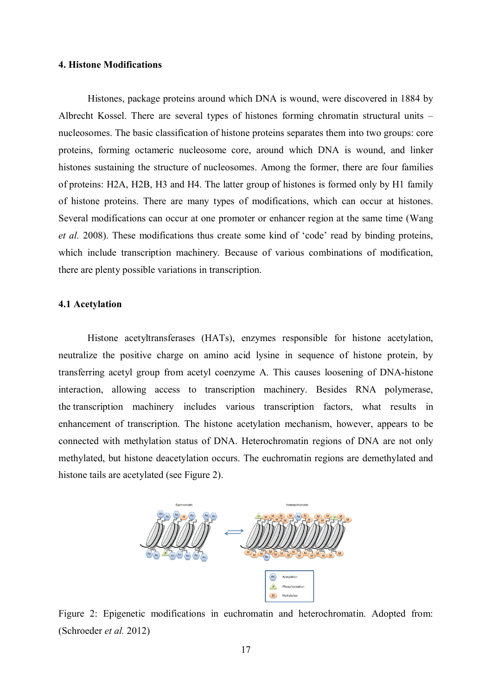## **4. Histone Modifications**

Histones, package proteins around which DNA is wound, were discovered in 1884 by Albrecht Kossel. There are several types of histones forming chromatin structural units – nucleosomes. The basic classification of histone proteins separates them into two groups: core proteins, forming octameric nucleosome core, around which DNA is wound, and linker histones sustaining the structure of nucleosomes. Among the former, there are four families of proteins: H2A, H2B, H3 and H4. The latter group of histones is formed only by H1 family of histone proteins. There are many types of modifications, which can occur at histones. Several m[odifications can occur at one promoter or enhancer region](#page-38-6) at the same time (Wang *et al.* 2008). These modifications thus create some kind of 'code' read by binding proteins, which include transcription machinery. Because of various combinations of modification, there are plenty possible variations in transcription.

## **4.1 Acetylation**

Histone acetyltransferases (HATs), enzymes responsible for histone acetylation, neutralize the positive charge on amino acid lysine in sequence of histone protein, by transferring acetyl group from acetyl coenzyme A. This causes loosening of DNA-histone interaction, allowing access to transcription machinery. Besides RNA polymerase, the transcription machinery includes various transcription factors, what results in enhancement of transcription. The histone acetylation mechanism, however, appears to be connected with methylation status of DNA. Heterochromatin regions of DNA are not only methylated, but histone deacetylation occurs. The euchromatin regions are demethylated and histone tails are acetylated (see Figure 2).



Figure 2: Epigenetic modifications in euchromatin and heterochromatin. Adopted from: [\(Schroeder](#page-36-9) *et al.* 2012)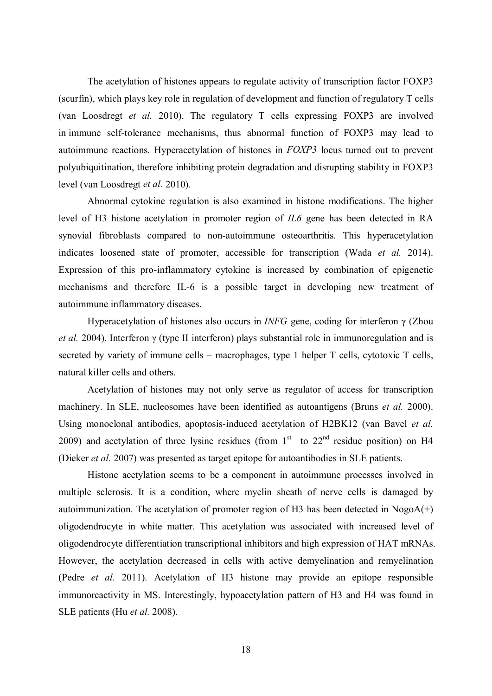The acetylation of histones appears to regulate activity of transcription factor FOXP3 (scurfin), which plays key role in regulation of development and function of regulatory T cells [\(van Loosdregt](#page-37-8) *et al.* 2010). The regulatory T cells expressing FOXP3 are involved in immune self-tolerance mechanisms, thus abnormal function of FOXP3 may lead to autoimmune reactions. Hyperacetylation of histones in *FOXP3* locus turned out to prevent polyubiquitination, therefore inhibiting protein degradation and disrupting stability in FOXP3 level [\(van Loosdregt](#page-37-9) *et al.* 2010).

Abnormal cytokine regulation is also examined in histone modifications. The higher level of H3 histone acetylation in promoter region of *IL6* gene has been detected in RA synovial fibroblasts compared to non-autoimmune osteoarthritis. This hyperacetylation indicates loosened state of promoter, accessible for transcription ([Wada](#page-37-10) *et al.* 2014). Expression of this pro-inflammatory cytokine is increased by combination of epigenetic mechanisms and therefore IL-6 is a possible target in developing new treatment of autoimmune inflammatory diseases.

Hy[peracetylation of histones also occurs](#page-38-7) in *INFG* gene, coding for interferon γ (Zhou *et al.* 2004). Interferon γ (type II interferon) plays substantial role in immunoregulation and is secreted by variety of immune cells – macrophages, type 1 helper T cells, cytotoxic T cells, natural killer cells and others.

Acetylation of histones may not only serve as regulator of access for transcription machinery. In SLE, nucleosomes have been identified as autoantigens [\(Bruns](#page-28-10) *et al.* 2000). Usin[g monoclonal antibodies, apoptosis-induced acetylation of H2BK12](#page-37-11) (van Bavel *et al.* 2009) and acetylation of three lysine residues (from  $1<sup>st</sup>$  to  $22<sup>nd</sup>$  residue position) on H4 [\(Dieker](#page-29-8) *et al.* 2007) was presented as target epitope for autoantibodies in SLE patients.

Histone acetylation seems to be a component in autoimmune processes involved in multiple sclerosis. It is a condition, where myelin sheath of nerve cells is damaged by autoimmunization. The acetylation of promoter region of H3 has been detected in Nogo $A(+)$ oligodendrocyte in white matter. This acetylation was associated with increased level of oligodendrocyte differentiation transcriptional inhibitors and high expression of HAT mRNAs. However, the acetylation decreased in cells with active demyelination and remyelination [\(Pedre](#page-35-14) *et al.* 2011). Acetylation of H3 histone may provide an epitope responsible immunoreactivity in MS. Interestingly, hypoacetylation pattern of H3 and H4 was found in SLE patients (Hu *[et al.](#page-31-7)* 2008).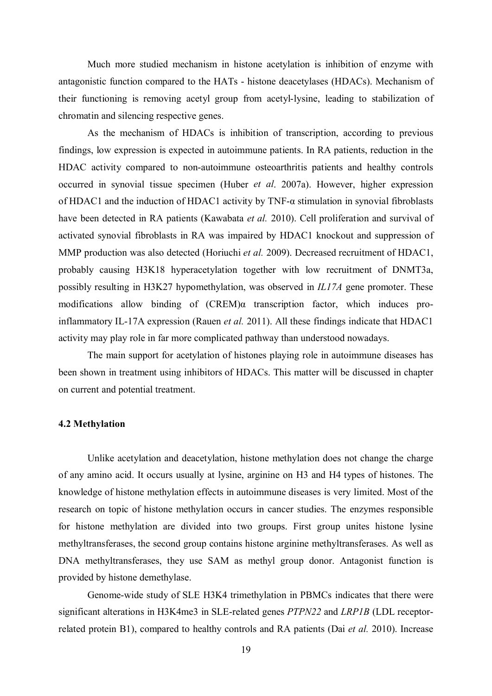Much more studied mechanism in histone acetylation is inhibition of enzyme with antagonistic function compared to the HATs - histone deacetylases (HDACs). Mechanism of their functioning is removing acetyl group from acetyl-lysine, leading to stabilization of chromatin and silencing respective genes.

As the mechanism of HDACs is inhibition of transcription, according to previous findings, low expression is expected in autoimmune patients. In RA patients, reduction in the HDAC activity compared to non-autoimmune osteoarthritis patients and healthy controls occurred in synovial tissue specimen (Huber *et al*[. 2007a](#page-31-8)). However, higher expression of HDAC1 and the induction of HDAC1 activity by TNF-α stimulation in synovial fibroblasts have been detected in RA patients [\(Kawabata](#page-32-9) *et al.* 2010). Cell proliferation and survival of activated synovial fibroblasts in RA was impaired by HDAC1 knockout and suppression of MMP production was also detected [\(Horiuchi](#page-30-8) *et al.* 2009). Decreased recruitment of HDAC1, probably causing H3K18 hyperacetylation together with low recruitment of DNMT3a, possibly resulting in H3K27 hypomethylation, was observed in *IL17A* gene promoter. These modifications allow binding of (CREM)α transcription factor, which induces proinflammatory IL-17A expression [\(Rauen](#page-36-10) *et al.* 2011). All these findings indicate that HDAC1 activity may play role in far more complicated pathway than understood nowadays.

The main support for acetylation of histones playing role in autoimmune diseases has been shown in treatment using inhibitors of HDACs. This matter will be discussed in chapter on current and potential treatment.

## **4.2 Methylation**

Unlike acetylation and deacetylation, histone methylation does not change the charge of any amino acid. It occurs usually at lysine, arginine on H3 and H4 types of histones. The knowledge of histone methylation effects in autoimmune diseases is very limited. Most of the research on topic of histone methylation occurs in cancer studies. The enzymes responsible for histone methylation are divided into two groups. First group unites histone lysine methyltransferases, the second group contains histone arginine methyltransferases. As well as DNA methyltransferases, they use SAM as methyl group donor. Antagonist function is provided by histone demethylase.

Genome-wide study of SLE H3K4 trimethylation in PBMCs indicates that there were significant alterations in H3K4me3 in SLE-related genes *PTPN22* and *LRP1B* (LDL receptorrelated protein B1), compared to healthy controls and RA patients (Dai *[et al.](#page-29-9)* 2010). Increase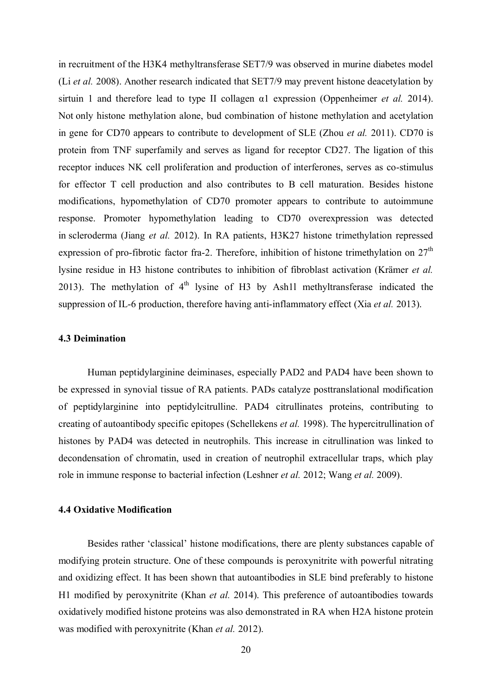in recruitment of the H3K4 methyltransferase SET7/9 was observed in murine diabetes model (Li *[et al.](#page-33-8)* 2008). Another research indicated that SET7/9 may prevent histone deacetylation by sirtuin 1 and therefore lead to type II collagen α1 expression [\(Oppenheimer](#page-35-15) *et al.* 2014). Not only histone methylation alone, bud combination of histone methylation and acetylation in gene for CD70 appears to contribute to development of SLE [\(Zhou](#page-38-8) *et al.* 2011). CD70 is protein from TNF superfamily and serves as ligand for receptor CD27. The ligation of this receptor induces NK cell proliferation and production of interferones, serves as co-stimulus for effector T cell production and also contributes to B cell maturation. Besides histone modifications, hypomethylation of CD70 promoter appears to contribute to autoimmune response. Promoter hypomethylation leading to CD70 overexpression was detected in scleroderma [\(Jiang](#page-32-10) *et al.* 2012). In RA patients, H3K27 histone trimethylation repressed expression of pro-fibrotic factor fra-2. Therefore, inhibition of histone trimethylation on  $27<sup>th</sup>$ lysin[e residue in H3 histone contributes to inhibition of fibroblast activation \(K](#page-33-9)rämer *et al.* 2013). The methylation of  $4<sup>th</sup>$  lysine of H3 by Ash1l methyltransferase indicated the suppression of IL-6 production, therefore having anti-inflammatory effect (Xia *[et al.](#page-38-9)* 2013).

## **4.3 Deimination**

Human peptidylarginine deiminases, especially PAD2 and PAD4 have been shown to be expressed in synovial tissue of RA patients. PADs catalyze posttranslational modification of peptidylarginine into peptidylcitrulline. PAD4 citrullinates proteins, contributing to creating of autoantibody specific epitopes [\(Schellekens](#page-36-11) *et al.* 1998). The hypercitrullination of histones by PAD4 was detected in neutrophils. This increase in citrullination was linked to decondensation of chromatin, used in creation of neutrophil extracellular traps, which play role in immune response to bacterial infection [\(Leshner](#page-33-10) *et al.* 2012; [Wang](#page-38-10) *et al.* 2009).

### **4.4 Oxidative Modification**

Besides rather 'classical' histone modifications, there are plenty substances capable of modifying protein structure. One of these compounds is peroxynitrite with powerful nitrating and oxidizing effect. It has been shown that autoantibodies in SLE bind preferably to histone H1 modified by peroxynitrite ([Khan](#page-32-11) *et al.* 2014). This preference of autoantibodies towards oxidatively modified histone proteins was also demonstrated in RA when H2A histone protein was modified with peroxynitrite [\(Khan](#page-32-12) *et al.* 2012).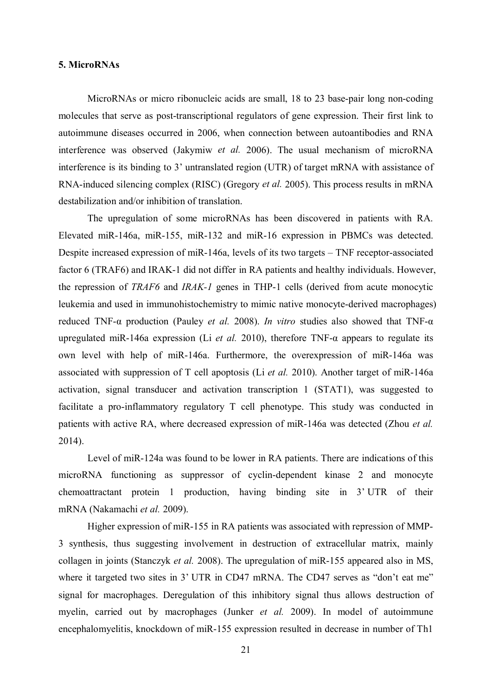## **5. MicroRNAs**

MicroRNAs or micro ribonucleic acids are small, 18 to 23 base-pair long non-coding molecules that serve as post-transcriptional regulators of gene expression. Their first link to autoimmune diseases occurred in 2006, when connection between autoantibodies and RNA interference was observed ([Jakymiw](#page-32-13) *et al.* 2006). The usual mechanism of microRNA interference is its binding to 3' untranslated region (UTR) of target mRNA with assistance of RNA-induced silencing complex (RISC) [\(Gregory](#page-30-9) *et al.* 2005). This process results in mRNA destabilization and/or inhibition of translation.

The upregulation of some microRNAs has been discovered in patients with RA. Elevated miR-146a, miR-155, miR-132 and miR-16 expression in PBMCs was detected. Despite increased expression of miR-146a, levels of its two targets – TNF receptor-associated factor 6 (TRAF6) and IRAK-1 did not differ in RA patients and healthy individuals. However, the repression of *TRAF6* and *IRAK-1* genes in THP-1 cells (derived from acute monocytic leukemia and used in immunohistochemistry to mimic native monocyte-derived macrophages) reduced TNF-α production ([Pauley](#page-35-16) *et al.* 2008). *In vitro* studies also showed that TNF-α upregulated miR-146a expression (Li *[et al.](#page-33-11)* 2010), therefore TNF-α appears to regulate its own level with help of miR-146a. Furthermore, the overexpression of miR-146a was associated with suppression of T cell apoptosis (Li *[et al.](#page-33-12)* 2010). Another target of miR-146a activation, signal transducer and activation transcription 1 (STAT1), was suggested to facilitate a pro-inflammatory regulatory T cell phenotype. This study was conducted in patie[nts with active RA, where decreased expression of miR-146a was detected \(](#page-38-11)Zhou *et al.* 2014).

Level of miR-124a was found to be lower in RA patients. There are indications of this microRNA functioning as suppressor of cyclin-dependent kinase 2 and monocyte chemoattractant protein 1 production, having binding site in 3' UTR of their mRNA [\(Nakamachi](#page-34-13) *et al.* 2009).

Higher expression of miR-155 in RA patients was associated with repression of MMP-3 synthesis, thus suggesting involvement in destruction of extracellular matrix, mainly collagen in joints [\(Stanczyk](#page-36-12) *et al.* 2008). The upregulation of miR-155 appeared also in MS, where it targeted two sites in 3' UTR in CD47 mRNA. The CD47 serves as "don't eat me" signal for macrophages. Deregulation of this inhibitory signal thus allows destruction of myelin, carried out by macrophages [\(Junker](#page-32-14) *et al.* 2009). In model of autoimmune encephalomyelitis, knockdown of miR-155 expression resulted in decrease in number of Th1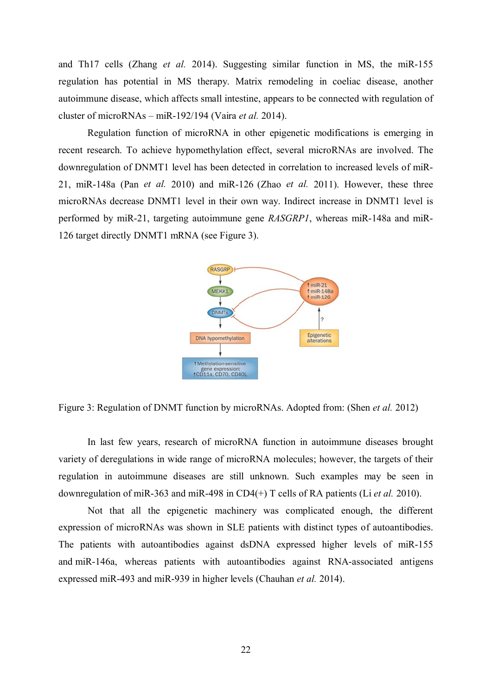and Th17 cells [\(Zhang](#page-38-12) *et al.* 2014). Suggesting similar function in MS, the miR-155 regulation has potential in MS therapy. Matrix remodeling in coeliac disease, another autoimmune disease, which affects small intestine, appears to be connected with regulation of cluster of microRNAs – miR-192/194 [\(Vaira](#page-37-12) *et al.* 2014).

Regulation function of microRNA in other epigenetic modifications is emerging in recent research. To achieve hypomethylation effect, several microRNAs are involved. The downregulation of DNMT1 level has been detected in correlation to increased levels of miR-21, miR-148a (Pan *[et al.](#page-35-17)* 2010) and miR-126 [\(Zhao](#page-38-13) *et al.* 2011). However, these three microRNAs decrease DNMT1 level in their own way. Indirect increase in DNMT1 level is performed by miR-21, targeting autoimmune gene *RASGRP1*, whereas miR-148a and miR-126 target directly DNMT1 mRNA (see Figure 3).



Figure 3: Regulation of DNMT function by microRNAs. Adopted from: [\(Shen](#page-36-13) *et al.* 2012)

In last few years, research of microRNA function in autoimmune diseases brought variety of deregulations in wide range of microRNA molecules; however, the targets of their regulation in autoimmune diseases are still unknown. Such examples may be seen in downregulation of miR-363 and miR-498 in CD4(+) T cells of RA patients (Li *[et al.](#page-33-13)* 2010).

Not that all the epigenetic machinery was complicated enough, the different expression of microRNAs was shown in SLE patients with distinct types of autoantibodies. The patients with autoantibodies against dsDNA expressed higher levels of miR-155 and miR-146a, whereas patients with autoantibodies against RNA-associated antigens expressed miR-493 and miR-939 in higher levels [\(Chauhan](#page-31-9) *et al.* 2014).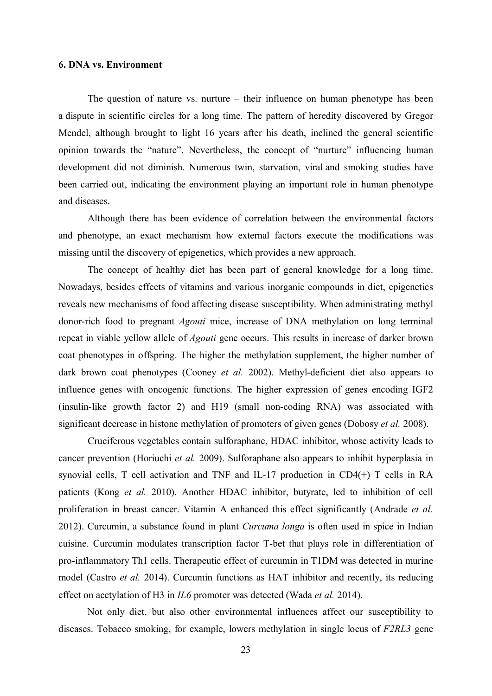## **6. DNA vs. Environment**

The question of nature vs. nurture – their influence on human phenotype has been a dispute in scientific circles for a long time. The pattern of heredity discovered by Gregor Mendel, although brought to light 16 years after his death, inclined the general scientific opinion towards the "nature". Nevertheless, the concept of "nurture" influencing human development did not diminish. Numerous twin, starvation, viral and smoking studies have been carried out, indicating the environment playing an important role in human phenotype and diseases.

Although there has been evidence of correlation between the environmental factors and phenotype, an exact mechanism how external factors execute the modifications was missing until the discovery of epigenetics, which provides a new approach.

The concept of healthy diet has been part of general knowledge for a long time. Nowadays, besides effects of vitamins and various inorganic compounds in diet, epigenetics reveals new mechanisms of food affecting disease susceptibility. When administrating methyl donor-rich food to pregnant *Agouti* mice, increase of DNA methylation on long terminal repeat in viable yellow allele of *Agouti* gene occurs. This results in increase of darker brown coat phenotypes in offspring. The higher the methylation supplement, the higher number of dark brown coat phenotypes ([Cooney](#page-29-10) *et al.* 2002). Methyl-deficient diet also appears to influence genes with oncogenic functions. The higher expression of genes encoding IGF2 (insulin-like growth factor 2) and H19 (small non-coding RNA) was associated with significant decrease in histone methylation of promoters of given genes [\(Dobosy](#page-29-11) *et al.* 2008).

Cruciferous vegetables contain sulforaphane, HDAC inhibitor, whose activity leads to cancer prevention [\(Horiuchi](#page-30-10) *et al.* 2009). Sulforaphane also appears to inhibit hyperplasia in synovial cells, T cell activation and TNF and IL-17 production in CD4(+) T cells in RA patients ([Kong](#page-33-14) *et al.* 2010). Another HDAC inhibitor, butyrate, led to inhibition of cell proli[feration in breast cancer. Vitamin A enhanced this effect significantly \(](#page-28-11)Andrade *et al.* 2012). Curcumin, a substance found in plant *Curcuma longa* is often used in spice in Indian cuisine. Curcumin modulates transcription factor T-bet that plays role in differentiation of pro-inflammatory Th1 cells. Therapeutic effect of curcumin in T1DM was detected in murine model ([Castro](#page-29-12) *et al.* 2014). Curcumin functions as HAT inhibitor and recently, its reducing effect on acetylation of H3 in *IL6* promoter was detected [\(Wada](#page-37-13) *et al.* 2014).

Not only diet, but also other environmental influences affect our susceptibility to diseases. Tobacco smoking, for example, lowers methylation in single locus of *F2RL3* gene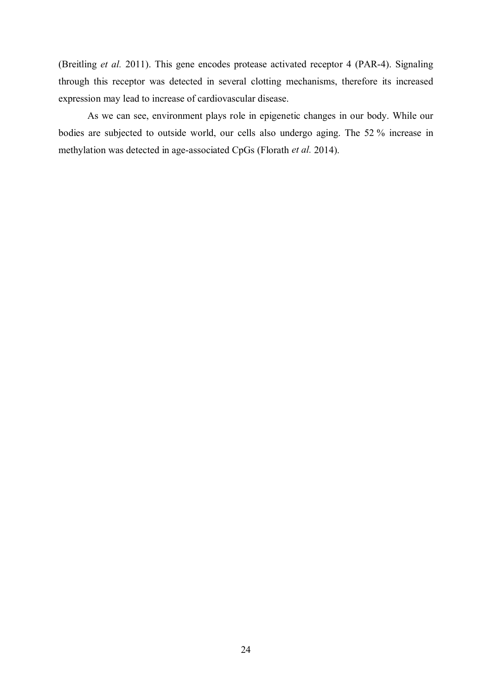[\(Breitling](#page-28-12) *et al.* 2011). This gene encodes protease activated receptor 4 (PAR-4). Signaling through this receptor was detected in several clotting mechanisms, therefore its increased expression may lead to increase of cardiovascular disease.

As we can see, environment plays role in epigenetic changes in our body. While our bodies are subjected to outside world, our cells also undergo aging. The 52 % increase in methylation was detected in age-associated CpGs [\(Florath](#page-30-11) *et al.* 2014).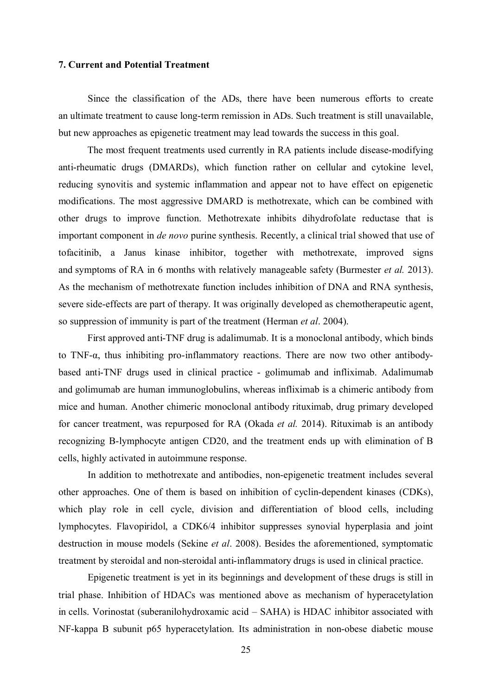### **7. Current and Potential Treatment**

Since the classification of the ADs, there have been numerous efforts to create an ultimate treatment to cause long-term remission in ADs. Such treatment is still unavailable, but new approaches as epigenetic treatment may lead towards the success in this goal.

The most frequent treatments used currently in RA patients include disease-modifying anti-rheumatic drugs (DMARDs), which function rather on cellular and cytokine level, reducing synovitis and systemic inflammation and appear not to have effect on epigenetic modifications. The most aggressive DMARD is methotrexate, which can be combined with other drugs to improve function. Methotrexate inhibits dihydrofolate reductase that is important component in *de novo* purine synthesis. Recently, a clinical trial showed that use of tofacitinib, a Janus kinase inhibitor, together with methotrexate, improved signs and symptoms of RA in 6 months with relatively manageable safety [\(Burmester](#page-29-13) *et al.* 2013). As the mechanism of methotrexate function includes inhibition of DNA and RNA synthesis, severe side-effects are part of therapy. It was originally developed as chemotherapeutic agent, so suppression of immunity is part of the treatment [\(Herman](#page-30-12) *et al*. 2004).

First approved anti-TNF drug is adalimumab. It is a monoclonal antibody, which binds to TNF-α, thus inhibiting pro-inflammatory reactions. There are now two other antibodybased anti-TNF drugs used in clinical practice - golimumab and infliximab. Adalimumab and golimumab are human immunoglobulins, whereas infliximab is a chimeric antibody from mice and human. Another chimeric monoclonal antibody rituximab, drug primary developed for cancer treatment, was repurposed for RA [\(Okada](#page-35-18) *et al.* 2014). Rituximab is an antibody recognizing B-lymphocyte antigen CD20, and the treatment ends up with elimination of B cells, highly activated in autoimmune response.

In addition to methotrexate and antibodies, non-epigenetic treatment includes several other approaches. One of them is based on inhibition of cyclin-dependent kinases (CDKs), which play role in cell cycle, division and differentiation of blood cells, including lymphocytes. Flavopiridol, a CDK6/4 inhibitor suppresses synovial hyperplasia and joint destruction in mouse models [\(Sekine](#page-36-14) *et al*. 2008). Besides the aforementioned, symptomatic treatment by steroidal and non-steroidal anti-inflammatory drugs is used in clinical practice.

Epigenetic treatment is yet in its beginnings and development of these drugs is still in trial phase. Inhibition of HDACs was mentioned above as mechanism of hyperacetylation in cells. Vorinostat (suberanilohydroxamic acid – SAHA) is HDAC inhibitor associated with NF-kappa B subunit p65 hyperacetylation. Its administration in non-obese diabetic mouse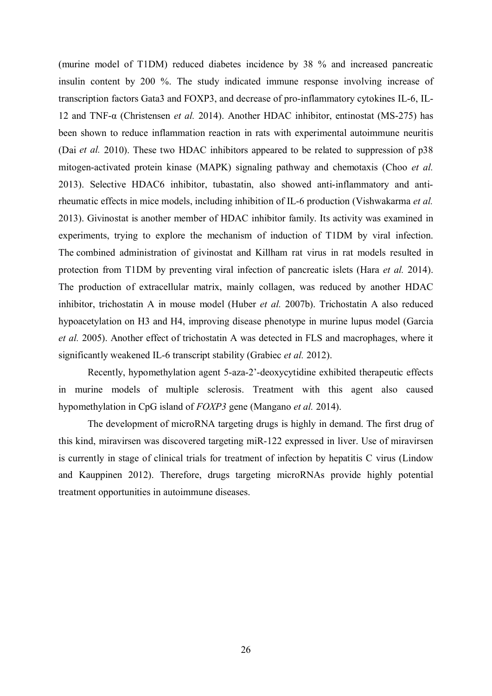(murine model of T1DM) reduced diabetes incidence by 38 % and increased pancreatic insulin content by 200 %. The study indicated immune response involving increase of transcription factors Gata3 and FOXP3, and decrease of pro-inflammatory cytokines IL-6, IL-12 and TNF-α [\(Christensen](#page-31-10) *et al.* 2014). Another HDAC inhibitor, entinostat (MS-275) has been shown to reduce inflammation reaction in rats with experimental autoimmune neuritis (Dai *[et al.](#page-29-14)* 2010). These two HDAC inhibitors appeared to be related to suppression of p38 mitogen-activated protein kinase (MAPK) [signaling pathway and chemotaxis \(](#page-31-11)Choo *et al.* 2013). Selective HDAC6 inhibitor, tubastatin, also showed anti-inflammatory and antirheu[matic effects in mice models, including inhibition of IL-6](#page-37-14) production (Vishwakarma *et al.* 2013). Givinostat is another member of HDAC inhibitor family. Its activity was examined in experiments, trying to explore the mechanism of induction of T1DM by viral infection. The combined administration of givinostat and Killham rat virus in rat models resulted in protection from T1DM by preventing viral infection of pancreatic islets [\(Hara](#page-30-13) *et al.* 2014). The production of extracellular matrix, mainly collagen, was reduced by another HDAC inhibitor, trichostatin A in mouse model [\(Huber](#page-31-12) *et al.* 2007b). Trichostatin A also reduced hypoacety[lation on H3 and H4, improving disease phenotype in murine lupus model \(](#page-30-14)Garcia *et al.* 2005). Another effect of trichostatin A was detected in FLS and macrophages, where it significantly weakened IL-6 transcript stability [\(Grabiec](#page-30-15) *et al.* 2012).

Recently, hypomethylation agent 5-aza-2'-deoxycytidine exhibited therapeutic effects in murine models of multiple sclerosis. Treatment with this agent also caused hypomethylation in CpG island of *FOXP3* gene [\(Mangano](#page-34-14) *et al.* 2014).

The development of microRNA targeting drugs is highly in demand. The first drug of this kind, miravirsen was discovered targeting miR-122 expressed in liver. Use of miravirsen is currently in stage o[f clinical trials for treatment of](#page-33-15) infection by hepatitis C virus (Lindow and Kauppinen 2012). Therefore, drugs targeting microRNAs provide highly potential treatment opportunities in autoimmune diseases.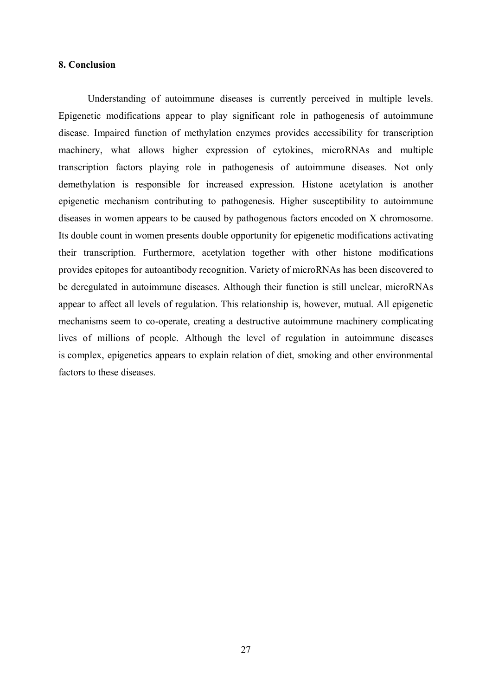## **8. Conclusion**

Understanding of autoimmune diseases is currently perceived in multiple levels. Epigenetic modifications appear to play significant role in pathogenesis of autoimmune disease. Impaired function of methylation enzymes provides accessibility for transcription machinery, what allows higher expression of cytokines, microRNAs and multiple transcription factors playing role in pathogenesis of autoimmune diseases. Not only demethylation is responsible for increased expression. Histone acetylation is another epigenetic mechanism contributing to pathogenesis. Higher susceptibility to autoimmune diseases in women appears to be caused by pathogenous factors encoded on X chromosome. Its double count in women presents double opportunity for epigenetic modifications activating their transcription. Furthermore, acetylation together with other histone modifications provides epitopes for autoantibody recognition. Variety of microRNAs has been discovered to be deregulated in autoimmune diseases. Although their function is still unclear, microRNAs appear to affect all levels of regulation. This relationship is, however, mutual. All epigenetic mechanisms seem to co-operate, creating a destructive autoimmune machinery complicating lives of millions of people. Although the level of regulation in autoimmune diseases is complex, epigenetics appears to explain relation of diet, smoking and other environmental factors to these diseases.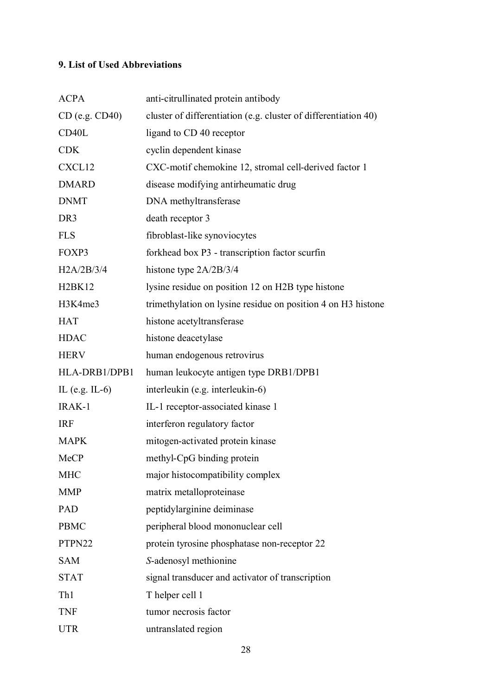# **9. List of Used Abbreviations**

| <b>ACPA</b>        | anti-citrullinated protein antibody                             |
|--------------------|-----------------------------------------------------------------|
| CD (e.g. CD40)     | cluster of differentiation (e.g. cluster of differentiation 40) |
| CD40L              | ligand to CD 40 receptor                                        |
| <b>CDK</b>         | cyclin dependent kinase                                         |
| CXCL12             | CXC-motif chemokine 12, stromal cell-derived factor 1           |
| <b>DMARD</b>       | disease modifying antirheumatic drug                            |
| <b>DNMT</b>        | DNA methyltransferase                                           |
| DR <sub>3</sub>    | death receptor 3                                                |
| <b>FLS</b>         | fibroblast-like synoviocytes                                    |
| FOXP3              | forkhead box P3 - transcription factor scurfin                  |
| H2A/2B/3/4         | histone type 2A/2B/3/4                                          |
| <b>H2BK12</b>      | lysine residue on position 12 on H2B type histone               |
| H3K4me3            | trimethylation on lysine residue on position 4 on H3 histone    |
| <b>HAT</b>         | histone acetyltransferase                                       |
| <b>HDAC</b>        | histone deacetylase                                             |
| <b>HERV</b>        | human endogenous retrovirus                                     |
| HLA-DRB1/DPB1      | human leukocyte antigen type DRB1/DPB1                          |
| IL (e.g. IL- $6$ ) | interleukin (e.g. interleukin-6)                                |
| IRAK-1             | IL-1 receptor-associated kinase 1                               |
| <b>IRF</b>         | interferon regulatory factor                                    |
| <b>MAPK</b>        | mitogen-activated protein kinase                                |
| MeCP               | methyl-CpG binding protein                                      |
| <b>MHC</b>         | major histocompatibility complex                                |
| <b>MMP</b>         | matrix metalloproteinase                                        |
| <b>PAD</b>         | peptidylarginine deiminase                                      |
| <b>PBMC</b>        | peripheral blood mononuclear cell                               |
| PTPN22             | protein tyrosine phosphatase non-receptor 22                    |
| <b>SAM</b>         | S-adenosyl methionine                                           |
| <b>STAT</b>        | signal transducer and activator of transcription                |
| Th1                | T helper cell 1                                                 |
| <b>TNF</b>         | tumor necrosis factor                                           |
| <b>UTR</b>         | untranslated region                                             |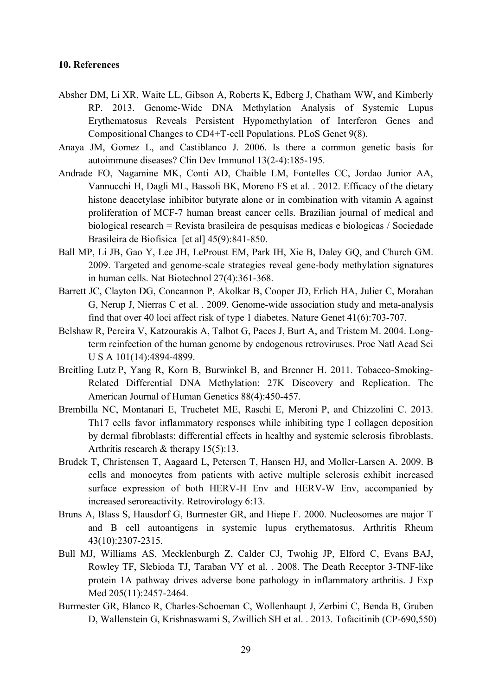## <span id="page-28-12"></span>**10. References**

- <span id="page-28-8"></span><span id="page-28-5"></span><span id="page-28-4"></span><span id="page-28-1"></span>Absher DM, Li XR, Waite LL, Gibson A, Roberts K, Edberg J, Chatham WW, and Kimberly RP. 2013. Genome-Wide DNA Methylation Analysis of Systemic Lupus Erythematosus Reveals Persistent Hypomethylation of Interferon Genes and Compositional Changes to CD4+T-cell Populations. PLoS Genet 9(8).
- Anaya JM, Gomez L, and Castiblanco J. 2006. Is there a common genetic basis for autoimmune diseases? Clin Dev Immunol 13(2-4):185-195.
- Andrade FO, Nagamine MK, Conti AD, Chaible LM, Fontelles CC, Jordao Junior AA, Vannucchi H, Dagli ML, Bassoli BK, Moreno FS et al. . 2012. Efficacy of the dietary histone deacetylase inhibitor butyrate alone or in combination with vitamin A against proliferation of MCF-7 human breast cancer cells. Brazilian journal of medical and biological research = Revista brasileira de pesquisas medicas e biologicas / Sociedade Brasileira de Biofisica [et al] 45(9):841-850.
- <span id="page-28-2"></span>Ball MP, Li JB, Gao Y, Lee JH, LeProust EM, Park IH, Xie B, Daley GQ, and Church GM. 2009. Targeted and genome-scale strategies reveal gene-body methylation signatures in human cells. Nat Biotechnol 27(4):361-368.
- Barrett JC, Clayton DG, Concannon P, Akolkar B, Cooper JD, Erlich HA, Julier C, Morahan G, Nerup J, Nierras C et al. . 2009. Genome-wide association study and meta-analysis find that over 40 loci affect risk of type 1 diabetes. Nature Genet 41(6):703-707.
- Belshaw R, Pereira V, Katzourakis A, Talbot G, Paces J, Burt A, and Tristem M. 2004. Longterm reinfection of the human genome by endogenous retroviruses. Proc Natl Acad Sci U S A 101(14):4894-4899.
- <span id="page-28-9"></span><span id="page-28-7"></span>Breitling Lutz P, Yang R, Korn B, Burwinkel B, and Brenner H. 2011. Tobacco-Smoking-Related Differential DNA Methylation: 27K Discovery and Replication. The American Journal of Human Genetics 88(4):450-457.
- <span id="page-28-10"></span>Brembilla NC, Montanari E, Truchetet ME, Raschi E, Meroni P, and Chizzolini C. 2013. Th17 cells favor inflammatory responses while inhibiting type I collagen deposition by dermal fibroblasts: differential effects in healthy and systemic sclerosis fibroblasts. Arthritis research & therapy 15(5):13.
- Brudek T, Christensen T, Aagaard L, Petersen T, Hansen HJ, and Moller-Larsen A. 2009. B cells and monocytes from patients with active multiple sclerosis exhibit increased surface expression of both HERV-H Env and HERV-W Env, accompanied by increased seroreactivity. Retrovirology 6:13.
- <span id="page-28-11"></span><span id="page-28-0"></span>Bruns A, Blass S, Hausdorf G, Burmester GR, and Hiepe F. 2000. Nucleosomes are major T and B cell autoantigens in systemic lupus erythematosus. Arthritis Rheum 43(10):2307-2315.
- <span id="page-28-3"></span>Bull MJ, Williams AS, Mecklenburgh Z, Calder CJ, Twohig JP, Elford C, Evans BAJ, Rowley TF, Slebioda TJ, Taraban VY et al. . 2008. The Death Receptor 3-TNF-like protein 1A pathway drives adverse bone pathology in inflammatory arthritis. J Exp Med 205(11):2457-2464.
- <span id="page-28-6"></span>Burmester GR, Blanco R, Charles-Schoeman C, Wollenhaupt J, Zerbini C, Benda B, Gruben D, Wallenstein G, Krishnaswami S, Zwillich SH et al. . 2013. Tofacitinib (CP-690,550)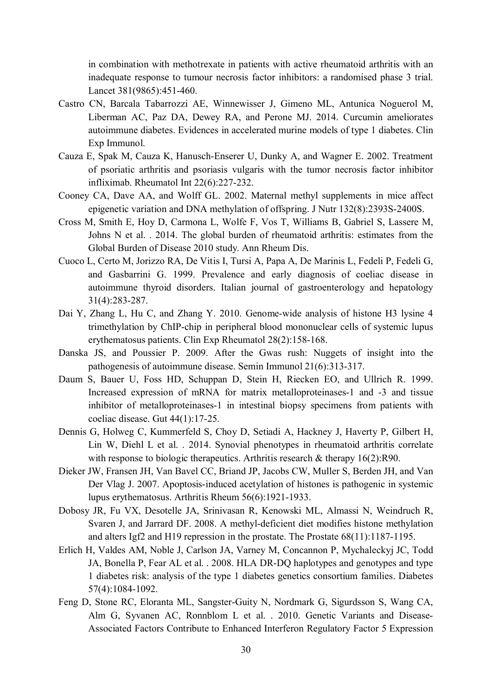<span id="page-29-6"></span>in combination with methotrexate in patients with active rheumatoid arthritis with an inadequate response to tumour necrosis factor inhibitors: a randomised phase 3 trial. Lancet 381(9865):451-460.

- Castro CN, Barcala Tabarrozzi AE, Winnewisser J, Gimeno ML, Antunica Noguerol M, Liberman AC, Paz DA, Dewey RA, and Perone MJ. 2014. Curcumin ameliorates autoimmune diabetes. Evidences in accelerated murine models of type 1 diabetes. Clin Exp Immunol.
- <span id="page-29-14"></span>Cauza E, Spak M, Cauza K, Hanusch-Enserer U, Dunky A, and Wagner E. 2002. Treatment of psoriatic arthritis and psoriasis vulgaris with the tumor necrosis factor inhibitor infliximab. Rheumatol Int 22(6):227-232.
- Cooney CA, Dave AA, and Wolff GL. 2002. Maternal methyl supplements in mice affect epigenetic variation and DNA methylation of offspring. J Nutr 132(8):2393S-2400S.
- <span id="page-29-7"></span><span id="page-29-3"></span>Cross M, Smith E, Hoy D, Carmona L, Wolfe F, Vos T, Williams B, Gabriel S, Lassere M, Johns N et al. . 2014. The global burden of rheumatoid arthritis: estimates from the Global Burden of Disease 2010 study. Ann Rheum Dis.
- <span id="page-29-13"></span>Cuoco L, Certo M, Jorizzo RA, De Vitis I, Tursi A, Papa A, De Marinis L, Fedeli P, Fedeli G, and Gasbarrini G. 1999. Prevalence and early diagnosis of coeliac disease in autoimmune thyroid disorders. Italian journal of gastroenterology and hepatology 31(4):283-287.
- Dai Y, Zhang L, Hu C, and Zhang Y. 2010. Genome-wide analysis of histone H3 lysine 4 trimethylation by ChIP-chip in peripheral blood mononuclear cells of systemic lupus erythematosus patients. Clin Exp Rheumatol 28(2):158-168.
- Danska JS, and Poussier P. 2009. After the Gwas rush: Nuggets of insight into the pathogenesis of autoimmune disease. Semin Immunol 21(6):313-317.
- <span id="page-29-10"></span>Daum S, Bauer U, Foss HD, Schuppan D, Stein H, Riecken EO, and Ullrich R. 1999. Increased expression of mRNA for matrix metalloproteinases-1 and -3 and tissue inhibitor of metalloproteinases-1 in intestinal biopsy specimens from patients with coeliac disease. Gut 44(1):17-25.
- <span id="page-29-11"></span><span id="page-29-4"></span><span id="page-29-2"></span>Dennis G, Holweg C, Kummerfeld S, Choy D, Setiadi A, Hackney J, Haverty P, Gilbert H, Lin W, Diehl L et al. . 2014. Synovial phenotypes in rheumatoid arthritis correlate with response to biologic therapeutics. Arthritis research & therapy 16(2):R90.
- <span id="page-29-8"></span><span id="page-29-0"></span>Dieker JW, Fransen JH, Van Bavel CC, Briand JP, Jacobs CW, Muller S, Berden JH, and Van Der Vlag J. 2007. Apoptosis-induced acetylation of histones is pathogenic in systemic lupus erythematosus. Arthritis Rheum 56(6):1921-1933.
- <span id="page-29-5"></span>Dobosy JR, Fu VX, Desotelle JA, Srinivasan R, Kenowski ML, Almassi N, Weindruch R, Svaren J, and Jarrard DF. 2008. A methyl-deficient diet modifies histone methylation and alters Igf2 and H19 repression in the prostate. The Prostate 68(11):1187-1195.
- Erlich H, Valdes AM, Noble J, Carlson JA, Varney M, Concannon P, Mychaleckyj JC, Todd JA, Bonella P, Fear AL et al. . 2008. HLA DR-DQ haplotypes and genotypes and type 1 diabetes risk: analysis of the type 1 diabetes genetics consortium families. Diabetes 57(4):1084-1092.
- <span id="page-29-12"></span><span id="page-29-9"></span><span id="page-29-1"></span>Feng D, Stone RC, Eloranta ML, Sangster-Guity N, Nordmark G, Sigurdsson S, Wang CA, Alm G, Syvanen AC, Ronnblom L et al. . 2010. Genetic Variants and Disease-Associated Factors Contribute to Enhanced Interferon Regulatory Factor 5 Expression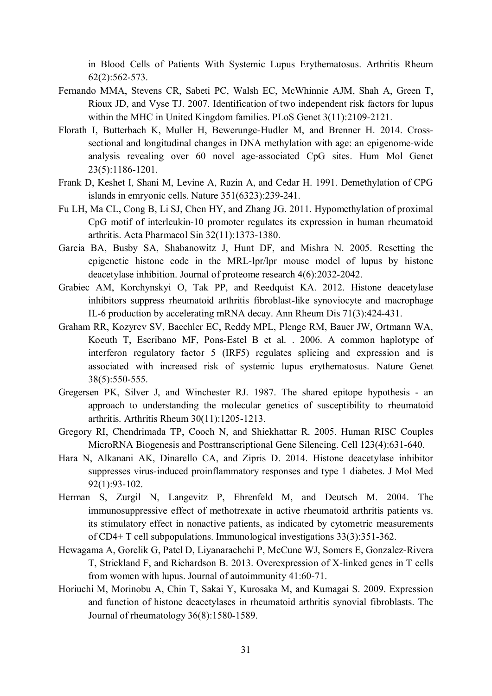<span id="page-30-11"></span><span id="page-30-4"></span>in Blood Cells of Patients With Systemic Lupus Erythematosus. Arthritis Rheum 62(2):562-573.

- Fernando MMA, Stevens CR, Sabeti PC, Walsh EC, McWhinnie AJM, Shah A, Green T, Rioux JD, and Vyse TJ. 2007. Identification of two independent risk factors for lupus within the MHC in United Kingdom families. PLoS Genet 3(11):2109-2121.
- Florath I, Butterbach K, Muller H, Bewerunge-Hudler M, and Brenner H. 2014. Crosssectional and longitudinal changes in DNA methylation with age: an epigenome-wide analysis revealing over 60 novel age-associated CpG sites. Hum Mol Genet 23(5):1186-1201.
- <span id="page-30-9"></span>Frank D, Keshet I, Shani M, Levine A, Razin A, and Cedar H. 1991. Demethylation of CPG islands in emryonic cells. Nature 351(6323):239-241.
- <span id="page-30-5"></span>Fu LH, Ma CL, Cong B, Li SJ, Chen HY, and Zhang JG. 2011. Hypomethylation of proximal CpG motif of interleukin-10 promoter regulates its expression in human rheumatoid arthritis. Acta Pharmacol Sin 32(11):1373-1380.
- <span id="page-30-8"></span>Garcia BA, Busby SA, Shabanowitz J, Hunt DF, and Mishra N. 2005. Resetting the epigenetic histone code in the MRL-lpr/lpr mouse model of lupus by histone deacetylase inhibition. Journal of proteome research 4(6):2032-2042.
- <span id="page-30-13"></span><span id="page-30-6"></span>Grabiec AM, Korchynskyi O, Tak PP, and Reedquist KA. 2012. Histone deacetylase inhibitors suppress rheumatoid arthritis fibroblast-like synoviocyte and macrophage IL-6 production by accelerating mRNA decay. Ann Rheum Dis 71(3):424-431.
- <span id="page-30-15"></span><span id="page-30-14"></span><span id="page-30-12"></span><span id="page-30-7"></span>Graham RR, Kozyrev SV, Baechler EC, Reddy MPL, Plenge RM, Bauer JW, Ortmann WA, Koeuth T, Escribano MF, Pons-Estel B et al. . 2006. A common haplotype of interferon regulatory factor 5 (IRF5) regulates splicing and expression and is associated with increased risk of systemic lupus erythematosus. Nature Genet 38(5):550-555.
- Gregersen PK, Silver J, and Winchester RJ. 1987. The shared epitope hypothesis an approach to understanding the molecular genetics of susceptibility to rheumatoid arthritis. Arthritis Rheum 30(11):1205-1213.
- <span id="page-30-0"></span>Gregory RI, Chendrimada TP, Cooch N, and Shiekhattar R. 2005. Human RISC Couples MicroRNA Biogenesis and Posttranscriptional Gene Silencing. Cell 123(4):631-640.
- <span id="page-30-10"></span>Hara N, Alkanani AK, Dinarello CA, and Zipris D. 2014. Histone deacetylase inhibitor suppresses virus-induced proinflammatory responses and type 1 diabetes. J Mol Med 92(1):93-102.
- <span id="page-30-3"></span>Herman S, Zurgil N, Langevitz P, Ehrenfeld M, and Deutsch M. 2004. The immunosuppressive effect of methotrexate in active rheumatoid arthritis patients vs. its stimulatory effect in nonactive patients, as indicated by cytometric measurements of CD4+ T cell subpopulations. Immunological investigations 33(3):351-362.
- <span id="page-30-2"></span><span id="page-30-1"></span>Hewagama A, Gorelik G, Patel D, Liyanarachchi P, McCune WJ, Somers E, Gonzalez-Rivera T, Strickland F, and Richardson B. 2013. Overexpression of X-linked genes in T cells from women with lupus. Journal of autoimmunity 41:60-71.
- Horiuchi M, Morinobu A, Chin T, Sakai Y, Kurosaka M, and Kumagai S. 2009. Expression and function of histone deacetylases in rheumatoid arthritis synovial fibroblasts. The Journal of rheumatology 36(8):1580-1589.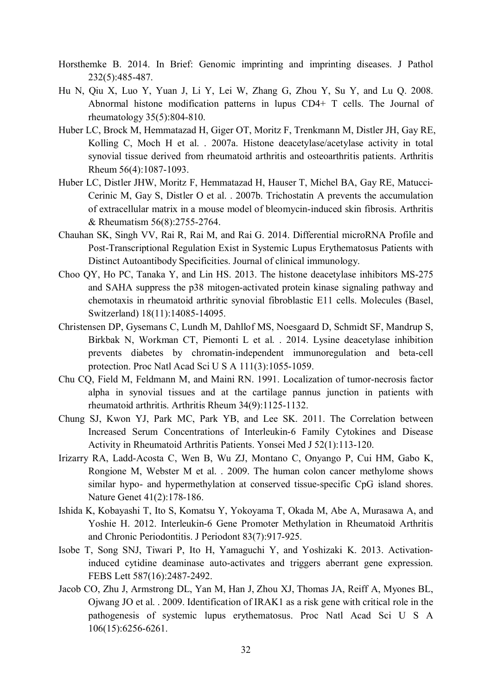- Horsthemke B. 2014. In Brief: Genomic imprinting and imprinting diseases. J Pathol 232(5):485-487.
- Hu N, Qiu X, Luo Y, Yuan J, Li Y, Lei W, Zhang G, Zhou Y, Su Y, and Lu Q. 2008. Abnormal histone modification patterns in lupus CD4+ T cells. The Journal of rheumatology 35(5):804-810.
- <span id="page-31-10"></span><span id="page-31-3"></span>Huber LC, Brock M, Hemmatazad H, Giger OT, Moritz F, Trenkmann M, Distler JH, Gay RE, Kolling C, Moch H et al. . 2007a. Histone deacetylase/acetylase activity in total synovial tissue derived from rheumatoid arthritis and osteoarthritis patients. Arthritis Rheum 56(4):1087-1093.
- <span id="page-31-11"></span><span id="page-31-8"></span>Huber LC, Distler JHW, Moritz F, Hemmatazad H, Hauser T, Michel BA, Gay RE, Matucci-Cerinic M, Gay S, Distler O et al. . 2007b. Trichostatin A prevents the accumulation of extracellular matrix in a mouse model of bleomycin-induced skin fibrosis. Arthritis & Rheumatism 56(8):2755-2764.
- <span id="page-31-6"></span><span id="page-31-4"></span>Chauhan SK, Singh VV, Rai R, Rai M, and Rai G. 2014. Differential microRNA Profile and Post-Transcriptional Regulation Exist in Systemic Lupus Erythematosus Patients with Distinct Autoantibody Specificities. Journal of clinical immunology.
- Choo QY, Ho PC, Tanaka Y, and Lin HS. 2013. The histone deacetylase inhibitors MS-275 and SAHA suppress the p38 mitogen-activated protein kinase signaling pathway and chemotaxis in rheumatoid arthritic synovial fibroblastic E11 cells. Molecules (Basel, Switzerland) 18(11):14085-14095.
- <span id="page-31-12"></span><span id="page-31-5"></span><span id="page-31-1"></span>Christensen DP, Gysemans C, Lundh M, Dahllof MS, Noesgaard D, Schmidt SF, Mandrup S, Birkbak N, Workman CT, Piemonti L et al. . 2014. Lysine deacetylase inhibition prevents diabetes by chromatin-independent immunoregulation and beta-cell protection. Proc Natl Acad Sci U S A 111(3):1055-1059.
- Chu CQ, Field M, Feldmann M, and Maini RN. 1991. Localization of tumor-necrosis factor alpha in synovial tissues and at the cartilage pannus junction in patients with rheumatoid arthritis. Arthritis Rheum 34(9):1125-1132.
- <span id="page-31-2"></span>Chung SJ, Kwon YJ, Park MC, Park YB, and Lee SK. 2011. The Correlation between Increased Serum Concentrations of Interleukin-6 Family Cytokines and Disease Activity in Rheumatoid Arthritis Patients. Yonsei Med J 52(1):113-120.
- Irizarry RA, Ladd-Acosta C, Wen B, Wu ZJ, Montano C, Onyango P, Cui HM, Gabo K, Rongione M, Webster M et al. . 2009. The human colon cancer methylome shows similar hypo- and hypermethylation at conserved tissue-specific CpG island shores. Nature Genet 41(2):178-186.
- Ishida K, Kobayashi T, Ito S, Komatsu Y, Yokoyama T, Okada M, Abe A, Murasawa A, and Yoshie H. 2012. Interleukin-6 Gene Promoter Methylation in Rheumatoid Arthritis and Chronic Periodontitis. J Periodont 83(7):917-925.
- Isobe T, Song SNJ, Tiwari P, Ito H, Yamaguchi Y, and Yoshizaki K. 2013. Activationinduced cytidine deaminase auto-activates and triggers aberrant gene expression. FEBS Lett 587(16):2487-2492.
- <span id="page-31-9"></span><span id="page-31-7"></span><span id="page-31-0"></span>Jacob CO, Zhu J, Armstrong DL, Yan M, Han J, Zhou XJ, Thomas JA, Reiff A, Myones BL, Ojwang JO et al. . 2009. Identification of IRAK1 as a risk gene with critical role in the pathogenesis of systemic lupus erythematosus. Proc Natl Acad Sci U S A 106(15):6256-6261.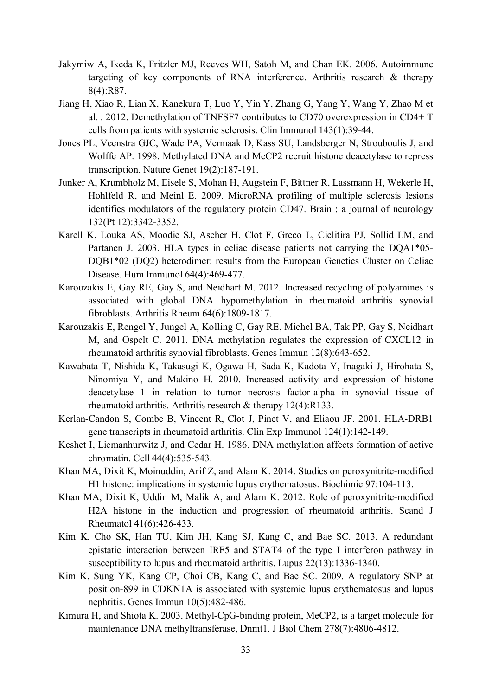- <span id="page-32-6"></span><span id="page-32-1"></span>Jakymiw A, Ikeda K, Fritzler MJ, Reeves WH, Satoh M, and Chan EK. 2006. Autoimmune targeting of key components of RNA interference. Arthritis research & therapy 8(4):R87.
- <span id="page-32-3"></span>Jiang H, Xiao R, Lian X, Kanekura T, Luo Y, Yin Y, Zhang G, Yang Y, Wang Y, Zhao M et al. . 2012. Demethylation of TNFSF7 contributes to CD70 overexpression in CD4+ T cells from patients with systemic sclerosis. Clin Immunol 143(1):39-44.
- <span id="page-32-13"></span>Jones PL, Veenstra GJC, Wade PA, Vermaak D, Kass SU, Landsberger N, Strouboulis J, and Wolffe AP. 1998. Methylated DNA and MeCP2 recruit histone deacetylase to repress transcription. Nature Genet 19(2):187-191.
- Junker A, Krumbholz M, Eisele S, Mohan H, Augstein F, Bittner R, Lassmann H, Wekerle H, Hohlfeld R, and Meinl E. 2009. MicroRNA profiling of multiple sclerosis lesions identifies modulators of the regulatory protein CD47. Brain : a journal of neurology 132(Pt 12):3342-3352.
- <span id="page-32-10"></span><span id="page-32-9"></span>Karell K, Louka AS, Moodie SJ, Ascher H, Clot F, Greco L, Ciclitira PJ, Sollid LM, and Partanen J. 2003. HLA types in celiac disease patients not carrying the DQA1\*05- DQB1\*02 (DQ2) heterodimer: results from the European Genetics Cluster on Celiac Disease. Hum Immunol 64(4):469-477.
- Karouzakis E, Gay RE, Gay S, and Neidhart M. 2012. Increased recycling of polyamines is associated with global DNA hypomethylation in rheumatoid arthritis synovial fibroblasts. Arthritis Rheum 64(6):1809-1817.
- <span id="page-32-4"></span>Karouzakis E, Rengel Y, Jungel A, Kolling C, Gay RE, Michel BA, Tak PP, Gay S, Neidhart M, and Ospelt C. 2011. DNA methylation regulates the expression of CXCL12 in rheumatoid arthritis synovial fibroblasts. Genes Immun 12(8):643-652.
- Kawabata T, Nishida K, Takasugi K, Ogawa H, Sada K, Kadota Y, Inagaki J, Hirohata S, Ninomiya Y, and Makino H. 2010. Increased activity and expression of histone deacetylase 1 in relation to tumor necrosis factor-alpha in synovial tissue of rheumatoid arthritis. Arthritis research & therapy 12(4):R133.
- Kerlan-Candon S, Combe B, Vincent R, Clot J, Pinet V, and Eliaou JF. 2001. HLA-DRB1 gene transcripts in rheumatoid arthritis. Clin Exp Immunol 124(1):142-149.
- <span id="page-32-2"></span>Keshet I, Liemanhurwitz J, and Cedar H. 1986. DNA methylation affects formation of active chromatin. Cell 44(4):535-543.
- Khan MA, Dixit K, Moinuddin, Arif Z, and Alam K. 2014. Studies on peroxynitrite-modified H1 histone: implications in systemic lupus erythematosus. Biochimie 97:104-113.
- <span id="page-32-7"></span>Khan MA, Dixit K, Uddin M, Malik A, and Alam K. 2012. Role of peroxynitrite-modified H2A histone in the induction and progression of rheumatoid arthritis. Scand J Rheumatol 41(6):426-433.
- <span id="page-32-8"></span>Kim K, Cho SK, Han TU, Kim JH, Kang SJ, Kang C, and Bae SC. 2013. A redundant epistatic interaction between IRF5 and STAT4 of the type I interferon pathway in susceptibility to lupus and rheumatoid arthritis. Lupus 22(13):1336-1340.
- <span id="page-32-11"></span><span id="page-32-0"></span>Kim K, Sung YK, Kang CP, Choi CB, Kang C, and Bae SC. 2009. A regulatory SNP at position-899 in CDKN1A is associated with systemic lupus erythematosus and lupus nephritis. Genes Immun 10(5):482-486.
- <span id="page-32-14"></span><span id="page-32-12"></span><span id="page-32-5"></span>Kimura H, and Shiota K. 2003. Methyl-CpG-binding protein, MeCP2, is a target molecule for maintenance DNA methyltransferase, Dnmt1. J Biol Chem 278(7):4806-4812.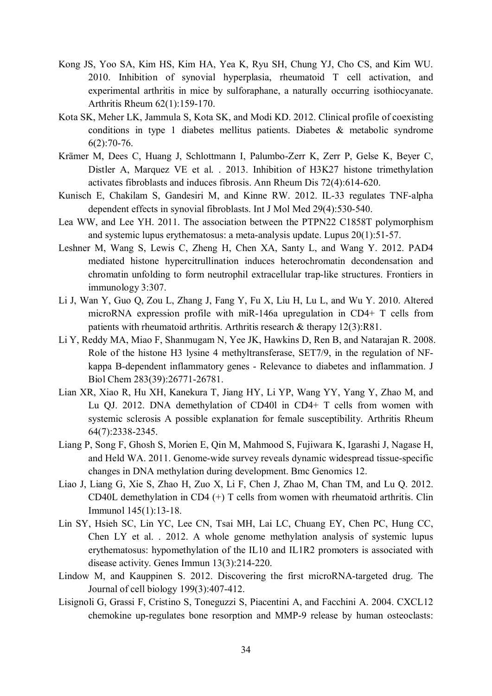- <span id="page-33-8"></span>Kong JS, Yoo SA, Kim HS, Kim HA, Yea K, Ryu SH, Chung YJ, Cho CS, and Kim WU. 2010. Inhibition of synovial hyperplasia, rheumatoid T cell activation, and experimental arthritis in mice by sulforaphane, a naturally occurring isothiocyanate. Arthritis Rheum 62(1):159-170.
- <span id="page-33-2"></span>Kota SK, Meher LK, Jammula S, Kota SK, and Modi KD. 2012. Clinical profile of coexisting conditions in type 1 diabetes mellitus patients. Diabetes & metabolic syndrome 6(2):70-76.
- <span id="page-33-6"></span>Krämer M, Dees C, Huang J, Schlottmann I, Palumbo-Zerr K, Zerr P, Gelse K, Beyer C, Distler A, Marquez VE et al. . 2013. Inhibition of H3K27 histone trimethylation activates fibroblasts and induces fibrosis. Ann Rheum Dis 72(4):614-620.
- <span id="page-33-7"></span><span id="page-33-3"></span>Kunisch E, Chakilam S, Gandesiri M, and Kinne RW. 2012. IL-33 regulates TNF-alpha dependent effects in synovial fibroblasts. Int J Mol Med 29(4):530-540.
- Lea WW, and Lee YH. 2011. The association between the PTPN22 C1858T polymorphism and systemic lupus erythematosus: a meta-analysis update. Lupus 20(1):51-57.
- <span id="page-33-9"></span>Leshner M, Wang S, Lewis C, Zheng H, Chen XA, Santy L, and Wang Y. 2012. PAD4 mediated histone hypercitrullination induces heterochromatin decondensation and chromatin unfolding to form neutrophil extracellular trap-like structures. Frontiers in immunology 3:307.
- Li J, Wan Y, Guo Q, Zou L, Zhang J, Fang Y, Fu X, Liu H, Lu L, and Wu Y. 2010. Altered microRNA expression profile with miR-146a upregulation in CD4+ T cells from patients with rheumatoid arthritis. Arthritis research & therapy 12(3):R81.
- <span id="page-33-11"></span><span id="page-33-5"></span>Li Y, Reddy MA, Miao F, Shanmugam N, Yee JK, Hawkins D, Ren B, and Natarajan R. 2008. Role of the histone H3 lysine 4 methyltransferase, SET7/9, in the regulation of NFkappa B-dependent inflammatory genes - Relevance to diabetes and inflammation. J Biol Chem 283(39):26771-26781.
- <span id="page-33-12"></span><span id="page-33-4"></span><span id="page-33-0"></span>Lian XR, Xiao R, Hu XH, Kanekura T, Jiang HY, Li YP, Wang YY, Yang Y, Zhao M, and Lu QJ. 2012. DNA demethylation of CD40l in CD4+ T cells from women with systemic sclerosis A possible explanation for female susceptibility. Arthritis Rheum 64(7):2338-2345.
- <span id="page-33-15"></span><span id="page-33-1"></span>Liang P, Song F, Ghosh S, Morien E, Qin M, Mahmood S, Fujiwara K, Igarashi J, Nagase H, and Held WA. 2011. Genome-wide survey reveals dynamic widespread tissue-specific changes in DNA methylation during development. Bmc Genomics 12.
- <span id="page-33-14"></span><span id="page-33-13"></span><span id="page-33-10"></span>Liao J, Liang G, Xie S, Zhao H, Zuo X, Li F, Chen J, Zhao M, Chan TM, and Lu Q. 2012. CD40L demethylation in CD4  $(+)$  T cells from women with rheumatoid arthritis. Clin Immunol 145(1):13-18.
- Lin SY, Hsieh SC, Lin YC, Lee CN, Tsai MH, Lai LC, Chuang EY, Chen PC, Hung CC, Chen LY et al. . 2012. A whole genome methylation analysis of systemic lupus erythematosus: hypomethylation of the IL10 and IL1R2 promoters is associated with disease activity. Genes Immun 13(3):214-220.
- Lindow M, and Kauppinen S. 2012. Discovering the first microRNA-targeted drug. The Journal of cell biology 199(3):407-412.
- Lisignoli G, Grassi F, Cristino S, Toneguzzi S, Piacentini A, and Facchini A. 2004. CXCL12 chemokine up-regulates bone resorption and MMP-9 release by human osteoclasts: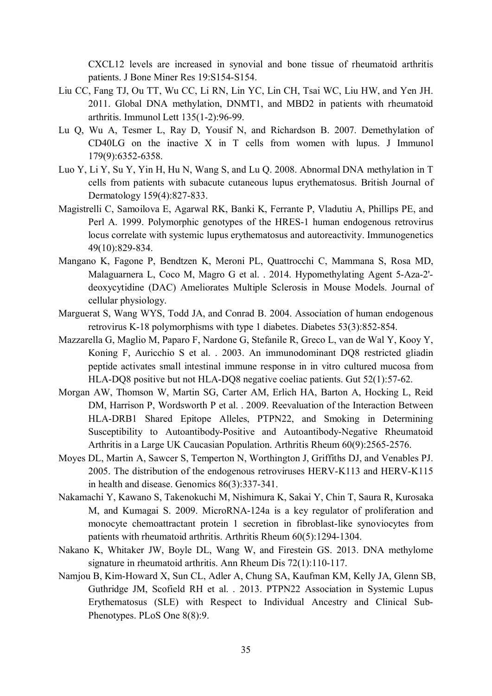<span id="page-34-3"></span><span id="page-34-2"></span><span id="page-34-1"></span><span id="page-34-0"></span>CXCL12 levels are increased in synovial and bone tissue of rheumatoid arthritis patients. J Bone Miner Res 19:S154-S154.

- Liu CC, Fang TJ, Ou TT, Wu CC, Li RN, Lin YC, Lin CH, Tsai WC, Liu HW, and Yen JH. 2011. Global DNA methylation, DNMT1, and MBD2 in patients with rheumatoid arthritis. Immunol Lett 135(1-2):96-99.
- <span id="page-34-5"></span>Lu Q, Wu A, Tesmer L, Ray D, Yousif N, and Richardson B. 2007. Demethylation of CD40LG on the inactive X in T cells from women with lupus. J Immunol 179(9):6352-6358.
- Luo Y, Li Y, Su Y, Yin H, Hu N, Wang S, and Lu Q. 2008. Abnormal DNA methylation in T cells from patients with subacute cutaneous lupus erythematosus. British Journal of Dermatology 159(4):827-833.
- <span id="page-34-12"></span><span id="page-34-4"></span>Magistrelli C, Samoilova E, Agarwal RK, Banki K, Ferrante P, Vladutiu A, Phillips PE, and Perl A. 1999. Polymorphic genotypes of the HRES-1 human endogenous retrovirus locus correlate with systemic lupus erythematosus and autoreactivity. Immunogenetics 49(10):829-834.
- Mangano K, Fagone P, Bendtzen K, Meroni PL, Quattrocchi C, Mammana S, Rosa MD, Malaguarnera L, Coco M, Magro G et al. . 2014. Hypomethylating Agent 5-Aza-2' deoxycytidine (DAC) Ameliorates Multiple Sclerosis in Mouse Models. Journal of cellular physiology.
- Marguerat S, Wang WYS, Todd JA, and Conrad B. 2004. Association of human endogenous retrovirus K-18 polymorphisms with type 1 diabetes. Diabetes 53(3):852-854.
- Mazzarella G, Maglio M, Paparo F, Nardone G, Stefanile R, Greco L, van de Wal Y, Kooy Y, Koning F, Auricchio S et al. . 2003. An immunodominant DQ8 restricted gliadin peptide activates small intestinal immune response in in vitro cultured mucosa from HLA-DQ8 positive but not HLA-DQ8 negative coeliac patients. Gut 52(1):57-62.
- <span id="page-34-14"></span><span id="page-34-11"></span><span id="page-34-7"></span><span id="page-34-6"></span>Morgan AW, Thomson W, Martin SG, Carter AM, Erlich HA, Barton A, Hocking L, Reid DM, Harrison P, Wordsworth P et al. . 2009. Reevaluation of the Interaction Between HLA-DRB1 Shared Epitope Alleles, PTPN22, and Smoking in Determining Susceptibility to Autoantibody-Positive and Autoantibody-Negative Rheumatoid Arthritis in a Large UK Caucasian Population. Arthritis Rheum 60(9):2565-2576.
- Moyes DL, Martin A, Sawcer S, Temperton N, Worthington J, Griffiths DJ, and Venables PJ. 2005. The distribution of the endogenous retroviruses HERV-K113 and HERV-K115 in health and disease. Genomics 86(3):337-341.
- <span id="page-34-13"></span><span id="page-34-9"></span><span id="page-34-8"></span>Nakamachi Y, Kawano S, Takenokuchi M, Nishimura K, Sakai Y, Chin T, Saura R, Kurosaka M, and Kumagai S. 2009. MicroRNA-124a is a key regulator of proliferation and monocyte chemoattractant protein 1 secretion in fibroblast-like synoviocytes from patients with rheumatoid arthritis. Arthritis Rheum 60(5):1294-1304.
- Nakano K, Whitaker JW, Boyle DL, Wang W, and Firestein GS. 2013. DNA methylome signature in rheumatoid arthritis. Ann Rheum Dis 72(1):110-117.
- <span id="page-34-10"></span>Namjou B, Kim-Howard X, Sun CL, Adler A, Chung SA, Kaufman KM, Kelly JA, Glenn SB, Guthridge JM, Scofield RH et al. . 2013. PTPN22 Association in Systemic Lupus Erythematosus (SLE) with Respect to Individual Ancestry and Clinical Sub-Phenotypes. PLoS One 8(8):9.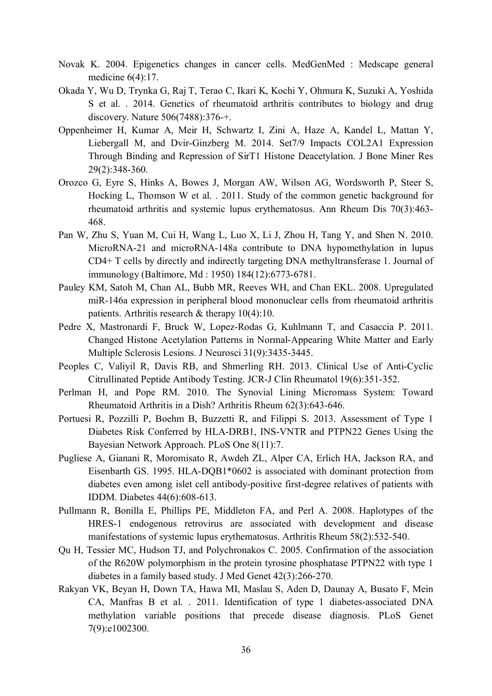- <span id="page-35-2"></span>Novak K. 2004. Epigenetics changes in cancer cells. MedGenMed : Medscape general medicine 6(4):17.
- <span id="page-35-15"></span><span id="page-35-13"></span><span id="page-35-8"></span>Okada Y, Wu D, Trynka G, Raj T, Terao C, Ikari K, Kochi Y, Ohmura K, Suzuki A, Yoshida S et al. . 2014. Genetics of rheumatoid arthritis contributes to biology and drug discovery. Nature 506(7488):376-+.
- <span id="page-35-12"></span><span id="page-35-11"></span>Oppenheimer H, Kumar A, Meir H, Schwartz I, Zini A, Haze A, Kandel L, Mattan Y, Liebergall M, and Dvir-Ginzberg M. 2014. Set7/9 Impacts COL2A1 Expression Through Binding and Repression of SirT1 Histone Deacetylation. J Bone Miner Res 29(2):348-360.
- <span id="page-35-17"></span><span id="page-35-3"></span>Orozco G, Eyre S, Hinks A, Bowes J, Morgan AW, Wilson AG, Wordsworth P, Steer S, Hocking L, Thomson W et al. . 2011. Study of the common genetic background for rheumatoid arthritis and systemic lupus erythematosus. Ann Rheum Dis 70(3):463- 468.
- <span id="page-35-4"></span>Pan W, Zhu S, Yuan M, Cui H, Wang L, Luo X, Li J, Zhou H, Tang Y, and Shen N. 2010. MicroRNA-21 and microRNA-148a contribute to DNA hypomethylation in lupus CD4+ T cells by directly and indirectly targeting DNA methyltransferase 1. Journal of immunology (Baltimore, Md : 1950) 184(12):6773-6781.
- <span id="page-35-5"></span><span id="page-35-0"></span>Pauley KM, Satoh M, Chan AL, Bubb MR, Reeves WH, and Chan EKL. 2008. Upregulated miR-146a expression in peripheral blood mononuclear cells from rheumatoid arthritis patients. Arthritis research & therapy 10(4):10.
- <span id="page-35-16"></span><span id="page-35-6"></span>Pedre X, Mastronardi F, Bruck W, Lopez-Rodas G, Kuhlmann T, and Casaccia P. 2011. Changed Histone Acetylation Patterns in Normal-Appearing White Matter and Early Multiple Sclerosis Lesions. J Neurosci 31(9):3435-3445.
- <span id="page-35-7"></span>Peoples C, Valiyil R, Davis RB, and Shmerling RH. 2013. Clinical Use of Anti-Cyclic Citrullinated Peptide Antibody Testing. JCR-J Clin Rheumatol 19(6):351-352.
- <span id="page-35-1"></span>Perlman H, and Pope RM. 2010. The Synovial Lining Micromass System: Toward Rheumatoid Arthritis in a Dish? Arthritis Rheum 62(3):643-646.
- <span id="page-35-18"></span>Portuesi R, Pozzilli P, Boehm B, Buzzetti R, and Filippi S. 2013. Assessment of Type 1 Diabetes Risk Conferred by HLA-DRB1, INS-VNTR and PTPN22 Genes Using the Bayesian Network Approach. PLoS One 8(11):7.
- <span id="page-35-9"></span>Pugliese A, Gianani R, Moromisato R, Awdeh ZL, Alper CA, Erlich HA, Jackson RA, and Eisenbarth GS. 1995. HLA-DQB1\*0602 is associated with dominant protection from diabetes even among islet cell antibody-positive first-degree relatives of patients with IDDM. Diabetes 44(6):608-613.
- Pullmann R, Bonilla E, Phillips PE, Middleton FA, and Perl A. 2008. Haplotypes of the HRES-1 endogenous retrovirus are associated with development and disease manifestations of systemic lupus erythematosus. Arthritis Rheum 58(2):532-540.
- Qu H, Tessier MC, Hudson TJ, and Polychronakos C. 2005. Confirmation of the association of the R620W polymorphism in the protein tyrosine phosphatase PTPN22 with type 1 diabetes in a family based study. J Med Genet 42(3):266-270.
- <span id="page-35-14"></span><span id="page-35-10"></span>Rakyan VK, Beyan H, Down TA, Hawa MI, Maslau S, Aden D, Daunay A, Busato F, Mein CA, Manfras B et al. . 2011. Identification of type 1 diabetes-associated DNA methylation variable positions that precede disease diagnosis. PLoS Genet 7(9):e1002300.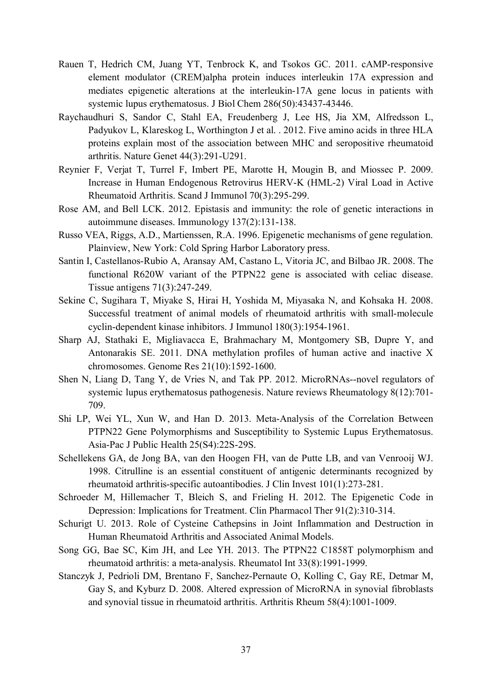- <span id="page-36-6"></span>Rauen T, Hedrich CM, Juang YT, Tenbrock K, and Tsokos GC. 2011. cAMP-responsive element modulator (CREM)alpha protein induces interleukin 17A expression and mediates epigenetic alterations at the interleukin-17A gene locus in patients with systemic lupus erythematosus. J Biol Chem 286(50):43437-43446.
- <span id="page-36-7"></span>Raychaudhuri S, Sandor C, Stahl EA, Freudenberg J, Lee HS, Jia XM, Alfredsson L, Padyukov L, Klareskog L, Worthington J et al. . 2012. Five amino acids in three HLA proteins explain most of the association between MHC and seropositive rheumatoid arthritis. Nature Genet 44(3):291-U291.
- Reynier F, Verjat T, Turrel F, Imbert PE, Marotte H, Mougin B, and Miossec P. 2009. Increase in Human Endogenous Retrovirus HERV-K (HML-2) Viral Load in Active Rheumatoid Arthritis. Scand J Immunol 70(3):295-299.
- <span id="page-36-0"></span>Rose AM, and Bell LCK. 2012. Epistasis and immunity: the role of genetic interactions in autoimmune diseases. Immunology 137(2):131-138.
- Russo VEA, Riggs, A.D., Martienssen, R.A. 1996. Epigenetic mechanisms of gene regulation. Plainview, New York: Cold Spring Harbor Laboratory press.
- Santin I, Castellanos-Rubio A, Aransay AM, Castano L, Vitoria JC, and Bilbao JR. 2008. The functional R620W variant of the PTPN22 gene is associated with celiac disease. Tissue antigens 71(3):247-249.
- <span id="page-36-10"></span>Sekine C, Sugihara T, Miyake S, Hirai H, Yoshida M, Miyasaka N, and Kohsaka H. 2008. Successful treatment of animal models of rheumatoid arthritis with small-molecule cyclin-dependent kinase inhibitors. J Immunol 180(3):1954-1961.
- Sharp AJ, Stathaki E, Migliavacca E, Brahmachary M, Montgomery SB, Dupre Y, and Antonarakis SE. 2011. DNA methylation profiles of human active and inactive X chromosomes. Genome Res 21(10):1592-1600.
- Shen N, Liang D, Tang Y, de Vries N, and Tak PP. 2012. MicroRNAs--novel regulators of systemic lupus erythematosus pathogenesis. Nature reviews Rheumatology 8(12):701- 709.
- <span id="page-36-13"></span><span id="page-36-11"></span>Shi LP, Wei YL, Xun W, and Han D. 2013. Meta-Analysis of the Correlation Between PTPN22 Gene Polymorphisms and Susceptibility to Systemic Lupus Erythematosus. Asia-Pac J Public Health 25(S4):22S-29S.
- Schellekens GA, de Jong BA, van den Hoogen FH, van de Putte LB, and van Venrooij WJ. 1998. Citrulline is an essential constituent of antigenic determinants recognized by rheumatoid arthritis-specific autoantibodies. J Clin Invest 101(1):273-281.
- <span id="page-36-8"></span>Schroeder M, Hillemacher T, Bleich S, and Frieling H. 2012. The Epigenetic Code in Depression: Implications for Treatment. Clin Pharmacol Ther 91(2):310-314.
- Schurigt U. 2013. Role of Cysteine Cathepsins in Joint Inflammation and Destruction in Human Rheumatoid Arthritis and Associated Animal Models.
- <span id="page-36-14"></span><span id="page-36-12"></span><span id="page-36-1"></span>Song GG, Bae SC, Kim JH, and Lee YH. 2013. The PTPN22 C1858T polymorphism and rheumatoid arthritis: a meta-analysis. Rheumatol Int 33(8):1991-1999.
- <span id="page-36-9"></span><span id="page-36-5"></span><span id="page-36-4"></span><span id="page-36-3"></span><span id="page-36-2"></span>Stanczyk J, Pedrioli DM, Brentano F, Sanchez-Pernaute O, Kolling C, Gay RE, Detmar M, Gay S, and Kyburz D. 2008. Altered expression of MicroRNA in synovial fibroblasts and synovial tissue in rheumatoid arthritis. Arthritis Rheum 58(4):1001-1009.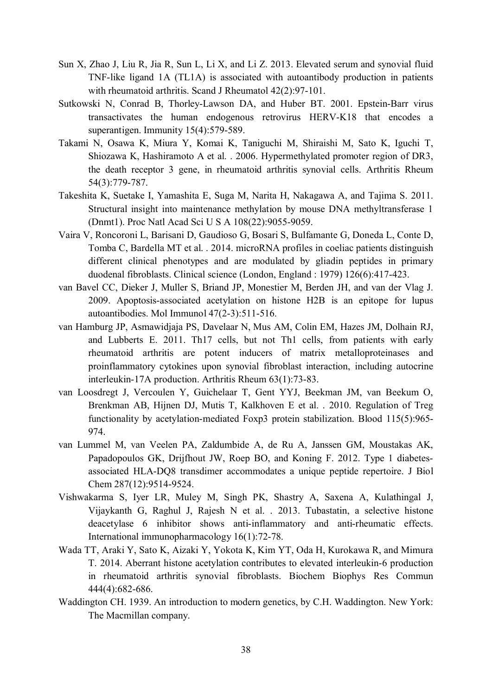- Sun X, Zhao J, Liu R, Jia R, Sun L, Li X, and Li Z. 2013. Elevated serum and synovial fluid TNF-like ligand 1A (TL1A) is associated with autoantibody production in patients with rheumatoid arthritis. Scand J Rheumatol 42(2):97-101.
- <span id="page-37-12"></span><span id="page-37-8"></span>Sutkowski N, Conrad B, Thorley-Lawson DA, and Huber BT. 2001. Epstein-Barr virus transactivates the human endogenous retrovirus HERV-K18 that encodes a superantigen. Immunity 15(4):579-589.
- <span id="page-37-7"></span><span id="page-37-1"></span><span id="page-37-0"></span>Takami N, Osawa K, Miura Y, Komai K, Taniguchi M, Shiraishi M, Sato K, Iguchi T, Shiozawa K, Hashiramoto A et al. . 2006. Hypermethylated promoter region of DR3, the death receptor 3 gene, in rheumatoid arthritis synovial cells. Arthritis Rheum 54(3):779-787.
- <span id="page-37-14"></span><span id="page-37-9"></span>Takeshita K, Suetake I, Yamashita E, Suga M, Narita H, Nakagawa A, and Tajima S. 2011. Structural insight into maintenance methylation by mouse DNA methyltransferase 1 (Dnmt1). Proc Natl Acad Sci U S A 108(22):9055-9059.
- <span id="page-37-10"></span><span id="page-37-4"></span>Vaira V, Roncoroni L, Barisani D, Gaudioso G, Bosari S, Bulfamante G, Doneda L, Conte D, Tomba C, Bardella MT et al. . 2014. microRNA profiles in coeliac patients distinguish different clinical phenotypes and are modulated by gliadin peptides in primary duodenal fibroblasts. Clinical science (London, England : 1979) 126(6):417-423.
- van Bavel CC, Dieker J, Muller S, Briand JP, Monestier M, Berden JH, and van der Vlag J. 2009. Apoptosis-associated acetylation on histone H2B is an epitope for lupus autoantibodies. Mol Immunol 47(2-3):511-516.
- van Hamburg JP, Asmawidjaja PS, Davelaar N, Mus AM, Colin EM, Hazes JM, Dolhain RJ, and Lubberts E. 2011. Th17 cells, but not Th1 cells, from patients with early rheumatoid arthritis are potent inducers of matrix metalloproteinases and proinflammatory cytokines upon synovial fibroblast interaction, including autocrine interleukin-17A production. Arthritis Rheum 63(1):73-83.
- van Loosdregt J, Vercoulen Y, Guichelaar T, Gent YYJ, Beekman JM, van Beekum O, Brenkman AB, Hijnen DJ, Mutis T, Kalkhoven E et al. . 2010. Regulation of Treg functionality by acetylation-mediated Foxp3 protein stabilization. Blood 115(5):965- 974.
- <span id="page-37-11"></span><span id="page-37-5"></span>van Lummel M, van Veelen PA, Zaldumbide A, de Ru A, Janssen GM, Moustakas AK, Papadopoulos GK, Drijfhout JW, Roep BO, and Koning F, 2012. Type 1 diabetesassociated HLA-DQ8 transdimer accommodates a unique peptide repertoire. J Biol Chem 287(12):9514-9524.
- <span id="page-37-6"></span><span id="page-37-2"></span>Vishwakarma S, Iyer LR, Muley M, Singh PK, Shastry A, Saxena A, Kulathingal J, Vijaykanth G, Raghul J, Rajesh N et al. . 2013. Tubastatin, a selective histone deacetylase 6 inhibitor shows anti-inflammatory and anti-rheumatic effects. International immunopharmacology 16(1):72-78.
- Wada TT, Araki Y, Sato K, Aizaki Y, Yokota K, Kim YT, Oda H, Kurokawa R, and Mimura T. 2014. Aberrant histone acetylation contributes to elevated interleukin-6 production in rheumatoid arthritis synovial fibroblasts. Biochem Biophys Res Commun 444(4):682-686.
- <span id="page-37-13"></span><span id="page-37-3"></span>Waddington CH. 1939. An introduction to modern genetics, by C.H. Waddington. New York: The Macmillan company.